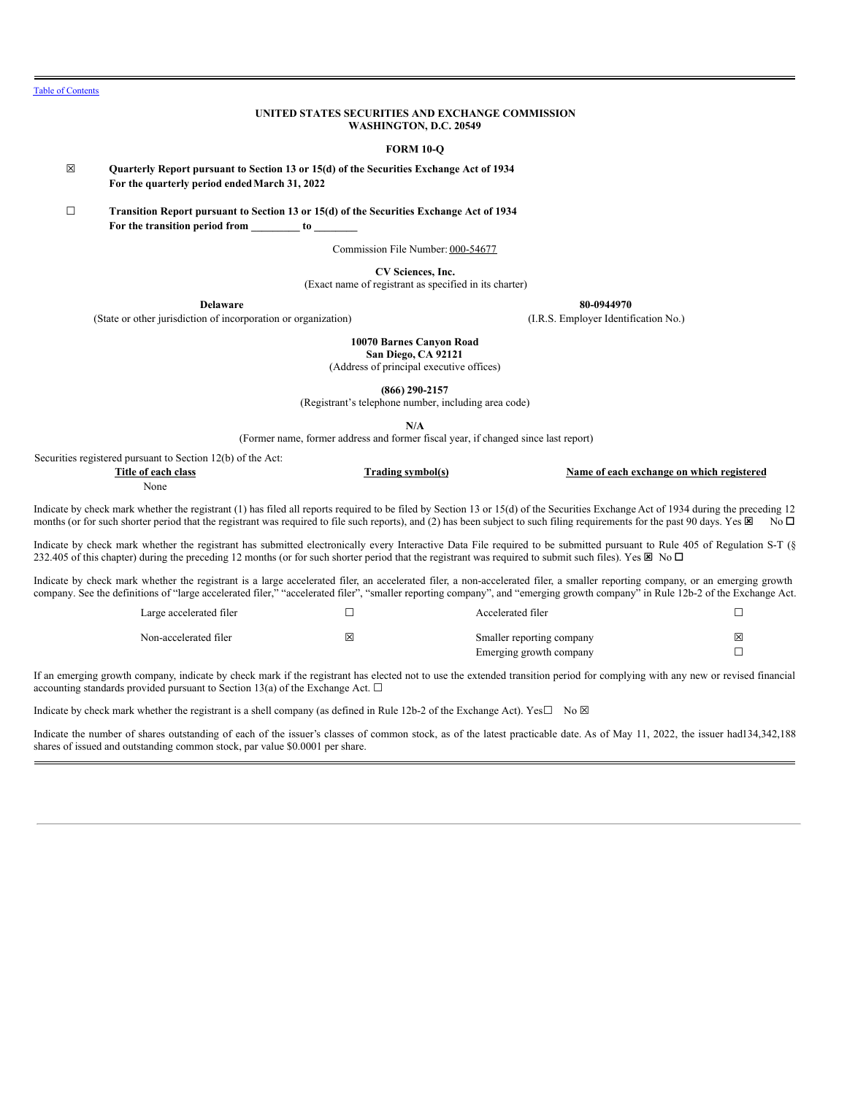# **UNITED STATES SECURITIES AND EXCHANGE COMMISSION WASHINGTON, D.C. 20549**

#### **FORM 10-Q**

☒ **Quarterly Report pursuant to Section 13 or 15(d) of the Securities Exchange Act of 1934 For the quarterly period endedMarch 31, 2022**

☐ **Transition Report pursuant to Section 13 or 15(d) of the Securities Exchange Act of 1934 For the transition period from \_\_\_\_\_\_\_\_\_ to \_\_\_\_\_\_\_\_**

Commission File Number: 000-54677

**CV Sciences, Inc.**

(Exact name of registrant as specified in its charter)

(State or other jurisdiction of incorporation or organization) (I.R.S. Employer Identification No.)

**Delaware 80-0944970**

**10070 Barnes Canyon Road San Diego, CA 92121**

(Address of principal executive offices)

**(866) 290-2157**

(Registrant's telephone number, including area code)

**N/A**

(Former name, former address and former fiscal year, if changed since last report)

Securities registered pursuant to Section 12(b) of the Act:

| Title of each<br>class | $\sim$ order to $\sim$ | Name of<br>ı registered<br>ı exchange on which<br>. each |
|------------------------|------------------------|----------------------------------------------------------|
| None<br>.              |                        |                                                          |

Indicate by check mark whether the registrant (1) has filed all reports required to be filed by Section 13 or 15(d) of the Securities Exchange Act of 1934 during the preceding 12 months (or for such shorter period that the registrant was required to file such reports), and (2) has been subject to such filing requirements for the past 90 days. Yes  $\boxtimes$  No  $\Box$ 

Indicate by check mark whether the registrant has submitted electronically every Interactive Data File required to be submitted pursuant to Rule 405 of Regulation S-T (§ 232.405 of this chapter) during the preceding 12 months (or for such shorter period that the registrant was required to submit such files). Yes  $\boxtimes$  No  $\Box$ 

Indicate by check mark whether the registrant is a large accelerated filer, an accelerated filer, a non-accelerated filer, a smaller reporting company, or an emerging growth company. See the definitions of "large accelerated filer," "accelerated filer", "smaller reporting company", and "emerging growth company" in Rule 12b-2 of the Exchange Act.

| Large accelerated filer |   | Accelerated filer                                    |   |
|-------------------------|---|------------------------------------------------------|---|
| Non-accelerated filer   | ⊠ | Smaller reporting company<br>Emerging growth company | X |

If an emerging growth company, indicate by check mark if the registrant has elected not to use the extended transition period for complying with any new or revised financial accounting standards provided pursuant to Section 13(a) of the Exchange Act.  $\square$ 

Indicate by check mark whether the registrant is a shell company (as defined in Rule 12b-2 of the Exchange Act). Yes $\square$  No  $\boxtimes$ 

<span id="page-0-0"></span>Indicate the number of shares outstanding of each of the issuer's classes of common stock, as of the latest practicable date. As of May 11, 2022, the issuer had134,342,188 shares of issued and outstanding common stock, par value \$0.0001 per share.

Table of [Contents](#page-0-0)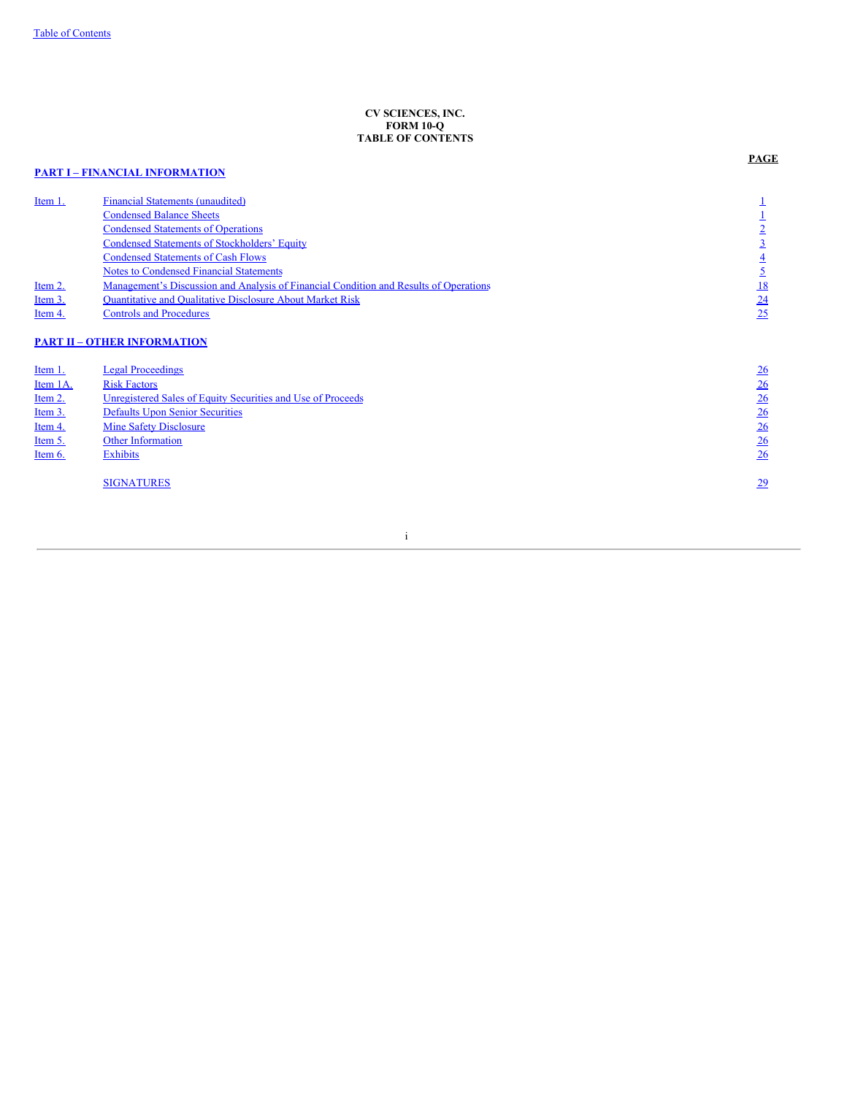# **CV SCIENCES, INC. FORM 10-Q TABLE OF CONTENTS**

# **PART I – FINANCIAL [INFORMATION](#page-1-0)**

Financial Statements [\(unaudited\)](#page-2-0)<br> [1](#page-2-0)<br>
1<br>
Condensed Balance Sheets<br>
2<br>
2<br>
2 **[Condensed](#page-2-1) Balance Sheets** [1](#page-2-1) [Condensed](#page-2-2) Statements of Operations [2](#page-2-2)

**PAGE**

<span id="page-1-0"></span>

|          | <b>Condensed Statements of Stockholders' Equity</b>                                   | $\overline{3}$  |
|----------|---------------------------------------------------------------------------------------|-----------------|
|          | <b>Condensed Statements of Cash Flows</b>                                             | $\overline{4}$  |
|          | <b>Notes to Condensed Financial Statements</b>                                        | <u>5</u>        |
| Item 2.  | Management's Discussion and Analysis of Financial Condition and Results of Operations | <u>18</u>       |
| Item 3.  | <b>Quantitative and Qualitative Disclosure About Market Risk</b>                      | 24              |
| Item 4.  | <b>Controls and Procedures</b>                                                        | 25              |
|          | <b>PART II - OTHER INFORMATION</b>                                                    |                 |
| Item 1.  | <b>Legal Proceedings</b>                                                              | 26              |
| Item 1A. | <b>Risk Factors</b>                                                                   | 26              |
| Item 2.  | Unregistered Sales of Equity Securities and Use of Proceeds                           | $\frac{26}{5}$  |
| Item 3.  | <b>Defaults Upon Senior Securities</b>                                                | 26              |
| Item 4.  | <b>Mine Safety Disclosure</b>                                                         | 26              |
| Item 5.  | <b>Other Information</b>                                                              | $\frac{26}{5}$  |
| Item 6.  | <b>Exhibits</b>                                                                       | 26              |
|          | <b>SIGNATURES</b>                                                                     | $\overline{29}$ |

i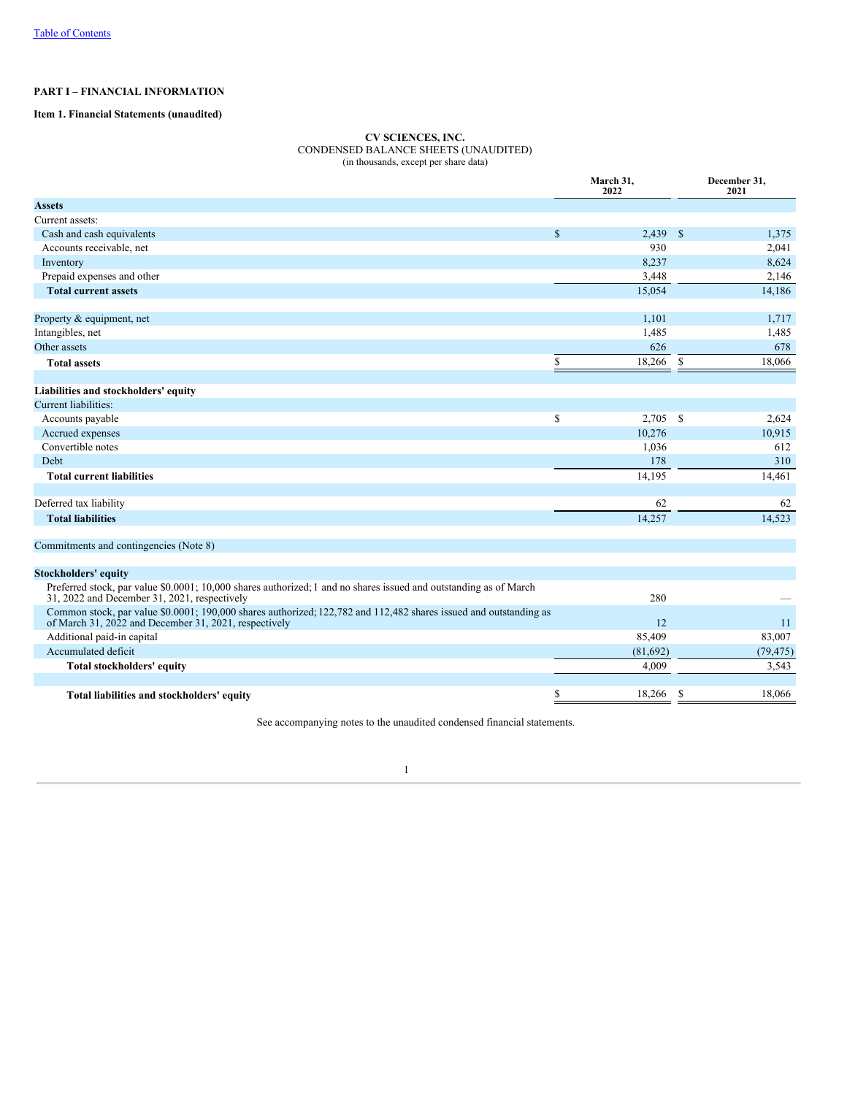# **PART I – FINANCIAL INFORMATION**

# <span id="page-2-1"></span><span id="page-2-0"></span>**Item 1. Financial Statements (unaudited)**

# **CV SCIENCES, INC.** CONDENSED BALANCE SHEETS (UNAUDITED) (in thousands, except per share data)

|                                                                                                                                                                            |    | March 31,<br>2022 | December 31,<br>2021 |           |  |
|----------------------------------------------------------------------------------------------------------------------------------------------------------------------------|----|-------------------|----------------------|-----------|--|
| <b>Assets</b>                                                                                                                                                              |    |                   |                      |           |  |
| Current assets:                                                                                                                                                            |    |                   |                      |           |  |
| Cash and cash equivalents                                                                                                                                                  | \$ | 2,439             | $\mathbb{S}$         | 1,375     |  |
| Accounts receivable, net                                                                                                                                                   |    | 930               |                      | 2,041     |  |
| Inventory                                                                                                                                                                  |    | 8,237             |                      | 8,624     |  |
| Prepaid expenses and other                                                                                                                                                 |    | 3,448             |                      | 2,146     |  |
| <b>Total current assets</b>                                                                                                                                                |    | 15,054            |                      | 14,186    |  |
|                                                                                                                                                                            |    |                   |                      |           |  |
| Property & equipment, net                                                                                                                                                  |    | 1,101             |                      | 1,717     |  |
| Intangibles, net                                                                                                                                                           |    | 1,485             |                      | 1,485     |  |
| Other assets                                                                                                                                                               |    | 626               |                      | 678       |  |
| <b>Total assets</b>                                                                                                                                                        | \$ | 18,266            | $\mathbb{S}$         | 18,066    |  |
|                                                                                                                                                                            |    |                   |                      |           |  |
| Liabilities and stockholders' equity                                                                                                                                       |    |                   |                      |           |  |
| Current liabilities:                                                                                                                                                       |    |                   |                      |           |  |
| Accounts payable                                                                                                                                                           | \$ | 2,705             | -S                   | 2,624     |  |
| Accrued expenses                                                                                                                                                           |    | 10,276            |                      | 10,915    |  |
| Convertible notes                                                                                                                                                          |    | 1,036             |                      | 612       |  |
| Debt                                                                                                                                                                       |    | 178               |                      | 310       |  |
| <b>Total current liabilities</b>                                                                                                                                           |    | 14,195            |                      | 14,461    |  |
|                                                                                                                                                                            |    |                   |                      |           |  |
| Deferred tax liability                                                                                                                                                     |    | 62                |                      | 62        |  |
| <b>Total liabilities</b>                                                                                                                                                   |    | 14,257            |                      | 14,523    |  |
| Commitments and contingencies (Note 8)                                                                                                                                     |    |                   |                      |           |  |
|                                                                                                                                                                            |    |                   |                      |           |  |
| <b>Stockholders' equity</b>                                                                                                                                                |    |                   |                      |           |  |
| Preferred stock, par value \$0.0001; 10,000 shares authorized; 1 and no shares issued and outstanding as of March<br>31, 2022 and December 31, 2021, respectively          |    | 280               |                      |           |  |
| Common stock, par value \$0.0001; 190,000 shares authorized; 122,782 and 112,482 shares issued and outstanding as<br>of March 31, 2022 and December 31, 2021, respectively |    | 12                |                      | 11        |  |
| Additional paid-in capital                                                                                                                                                 |    | 85,409            |                      | 83,007    |  |
| Accumulated deficit                                                                                                                                                        |    | (81,692)          |                      | (79, 475) |  |
| Total stockholders' equity                                                                                                                                                 |    | 4,009             |                      | 3,543     |  |
|                                                                                                                                                                            |    |                   |                      |           |  |
| Total liabilities and stockholders' equity                                                                                                                                 | \$ | 18,266            | S                    | 18.066    |  |

<span id="page-2-2"></span>See accompanying notes to the unaudited condensed financial statements.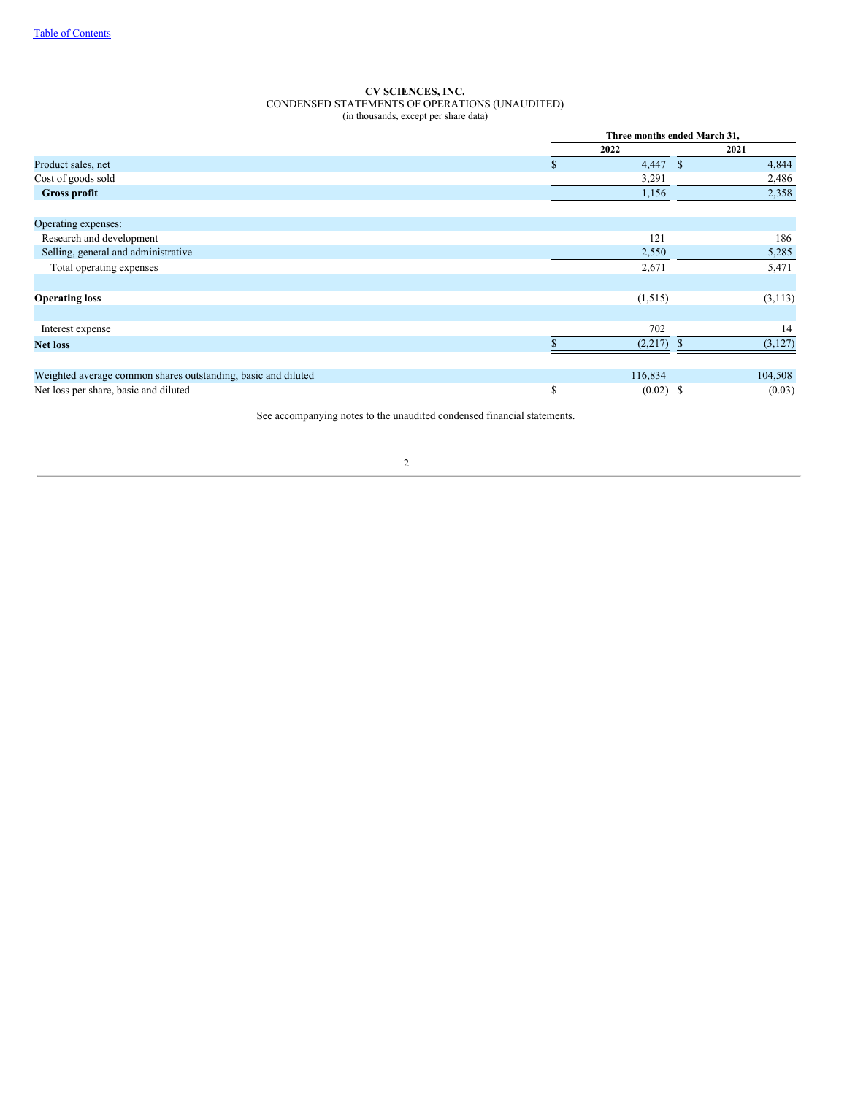#### **CV SCIENCES, INC.** CONDENSED STATEMENTS OF OPERATIONS (UNAUDITED) (in thousands, except per share data)

|                                                               |     | Three months ended March 31, |    |          |  |
|---------------------------------------------------------------|-----|------------------------------|----|----------|--|
|                                                               |     | 2022                         |    | 2021     |  |
| Product sales, net                                            | \$. | 4,447<br>- \$                |    | 4,844    |  |
| Cost of goods sold                                            |     | 3,291                        |    | 2,486    |  |
| <b>Gross profit</b>                                           |     | 1,156                        |    | 2,358    |  |
| Operating expenses:                                           |     |                              |    |          |  |
| Research and development                                      |     | 121                          |    | 186      |  |
| Selling, general and administrative                           |     | 2,550                        |    | 5,285    |  |
| Total operating expenses                                      |     | 2,671                        |    | 5,471    |  |
|                                                               |     |                              |    |          |  |
| <b>Operating loss</b>                                         |     | (1,515)                      |    | (3, 113) |  |
|                                                               |     |                              |    |          |  |
| Interest expense                                              |     | 702                          |    | 14       |  |
| <b>Net loss</b>                                               |     | (2,217)                      | -S | (3,127)  |  |
|                                                               |     |                              |    |          |  |
| Weighted average common shares outstanding, basic and diluted |     | 116,834                      |    | 104,508  |  |
| Net loss per share, basic and diluted                         | \$  | $(0.02)$ \$                  |    | (0.03)   |  |

<span id="page-3-0"></span>See accompanying notes to the unaudited condensed financial statements.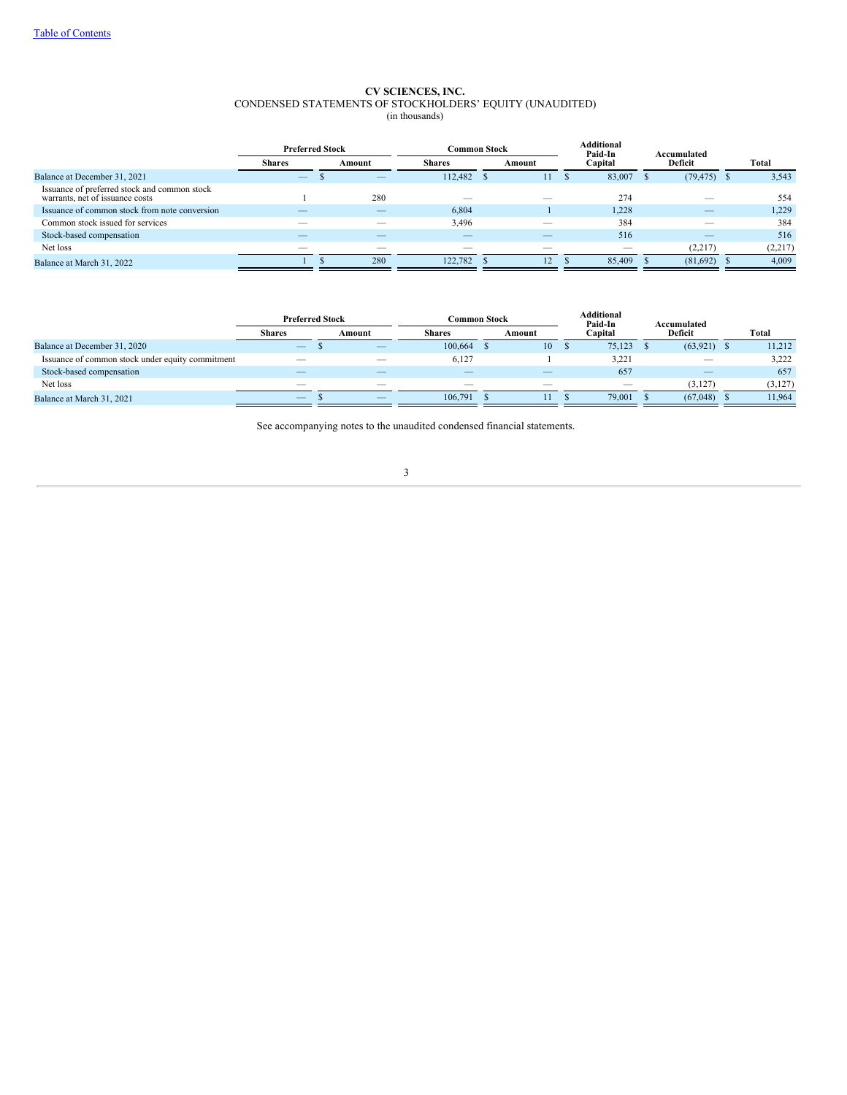#### **CV SCIENCES, INC.** CONDENSED STATEMENTS OF STOCKHOLDERS' EQUITY (UNAUDITED) (in thousands)

|                                                                                 |               | <b>Preferred Stock</b> |                          | <b>Common Stock</b>      | <b>Additional</b> | Paid-In<br>Accumulated |         |  |
|---------------------------------------------------------------------------------|---------------|------------------------|--------------------------|--------------------------|-------------------|------------------------|---------|--|
|                                                                                 | <b>Shares</b> | Amount                 | <b>Shares</b>            | Amount                   | Capital           | Deficit                | Total   |  |
| Balance at December 31, 2021                                                    |               |                        | 112,482                  | 11                       | 83,007<br>л       | $(79, 475)$ \$         | 3,543   |  |
| Issuance of preferred stock and common stock<br>warrants, net of issuance costs |               | 280                    |                          |                          | 274               |                        | 554     |  |
| Issuance of common stock from note conversion                                   |               | __                     | 6,804                    |                          | 1,228             |                        | 1,229   |  |
| Common stock issued for services                                                |               |                        | 3,496                    |                          | 384               |                        | 384     |  |
| Stock-based compensation                                                        |               |                        | $\overline{\phantom{a}}$ | $\overline{\phantom{m}}$ | 516               |                        | 516     |  |
| Net loss                                                                        |               |                        |                          |                          |                   | (2,217)                | (2,217) |  |
| Balance at March 31, 2022                                                       |               | 280                    | 122,782                  | 12                       | 85,409            | (81,692)               | 4,009   |  |

<span id="page-4-0"></span>

|                                                  | <b>Preferred Stock</b>   |        |                          | Common Stock |    | <b>Additional</b><br>Paid-In | Accumulated              |  |         |
|--------------------------------------------------|--------------------------|--------|--------------------------|--------------|----|------------------------------|--------------------------|--|---------|
|                                                  | <b>Shares</b>            | Amount | <b>Shares</b>            | Amount       |    | Capital                      | Deficit                  |  | Total   |
| Balance at December 31, 2020                     | $\qquad \qquad - \qquad$ |        | 100,664                  |              | 10 | 75,123                       | (63, 921)                |  | 11,212  |
| Issuance of common stock under equity commitment | $-$                      | __     | 6.127                    |              |    | 3.221                        | $\overline{\phantom{a}}$ |  | 3.222   |
| Stock-based compensation                         |                          | __     | $\overline{\phantom{a}}$ |              |    | 657                          | $\overline{\phantom{a}}$ |  | 657     |
| Net loss                                         |                          |        |                          |              |    |                              | (3.127)                  |  | (3,127) |
| Balance at March 31, 2021                        |                          | __     | 106,791                  |              |    | 79,001                       | (67,048)                 |  | 11.964  |

See accompanying notes to the unaudited condensed financial statements.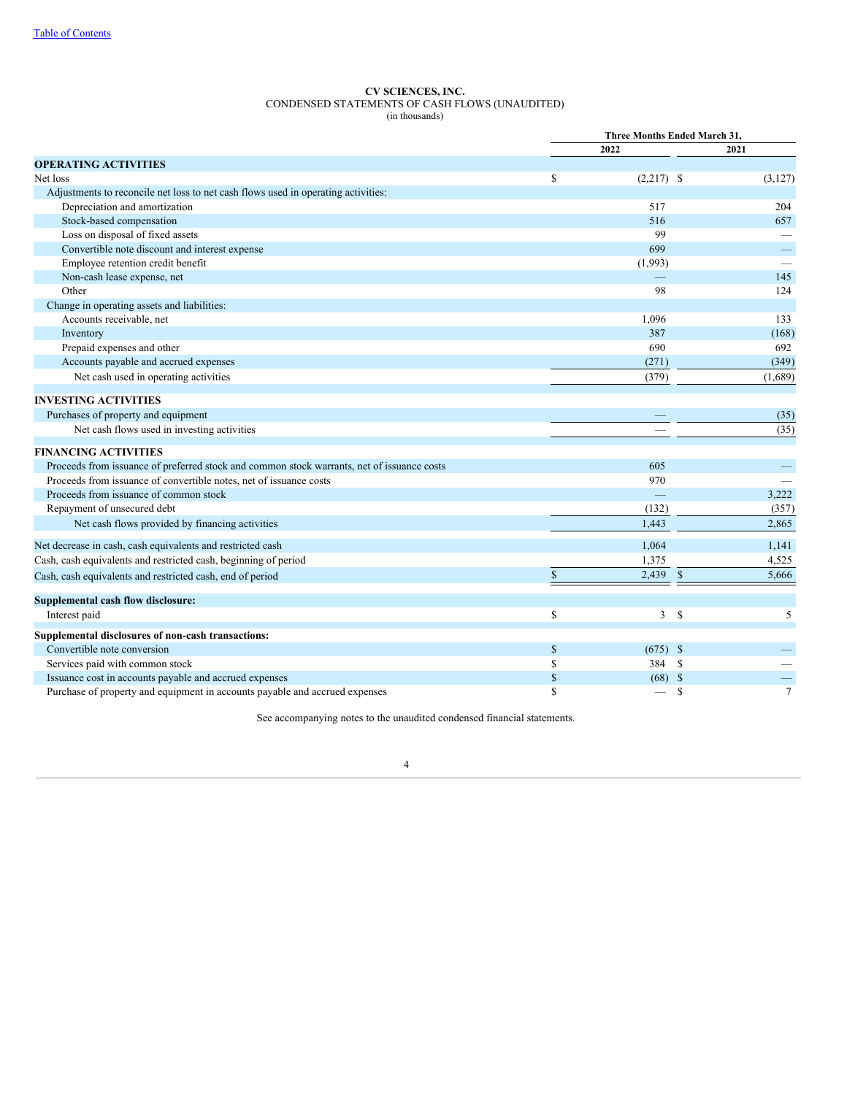### **CV SCIENCES, INC.** CONDENSED STATEMENTS OF CASH FLOWS (UNAUDITED) (in thousands)

|                                                                                            | Three Months Ended March 31, |                               |                |  |
|--------------------------------------------------------------------------------------------|------------------------------|-------------------------------|----------------|--|
|                                                                                            |                              | 2022                          | 2021           |  |
| <b>OPERATING ACTIVITIES</b>                                                                |                              |                               |                |  |
| Net loss                                                                                   | \$                           | $(2,217)$ \$                  | (3, 127)       |  |
| Adjustments to reconcile net loss to net cash flows used in operating activities:          |                              |                               |                |  |
| Depreciation and amortization                                                              |                              | 517                           | 204            |  |
| Stock-based compensation                                                                   |                              | 516                           | 657            |  |
| Loss on disposal of fixed assets                                                           |                              | 99                            |                |  |
| Convertible note discount and interest expense                                             |                              | 699                           |                |  |
| Employee retention credit benefit                                                          |                              | (1,993)                       |                |  |
| Non-cash lease expense, net                                                                |                              |                               | 145            |  |
| Other                                                                                      |                              | 98                            | 124            |  |
| Change in operating assets and liabilities:                                                |                              |                               |                |  |
| Accounts receivable, net                                                                   |                              | 1,096                         | 133            |  |
| Inventory                                                                                  |                              | 387                           | (168)          |  |
| Prepaid expenses and other                                                                 |                              | 690                           | 692            |  |
| Accounts payable and accrued expenses                                                      |                              | (271)                         | (349)          |  |
| Net cash used in operating activities                                                      |                              | (379)                         | (1,689)        |  |
| <b>INVESTING ACTIVITIES</b>                                                                |                              |                               |                |  |
| Purchases of property and equipment                                                        |                              |                               | (35)           |  |
| Net cash flows used in investing activities                                                |                              |                               | (35)           |  |
| <b>FINANCING ACTIVITIES</b>                                                                |                              |                               |                |  |
| Proceeds from issuance of preferred stock and common stock warrants, net of issuance costs |                              | 605                           |                |  |
| Proceeds from issuance of convertible notes, net of issuance costs                         |                              | 970                           |                |  |
| Proceeds from issuance of common stock                                                     |                              |                               | 3,222          |  |
| Repayment of unsecured debt                                                                |                              | (132)                         | (357)          |  |
| Net cash flows provided by financing activities                                            |                              | 1,443                         | 2,865          |  |
| Net decrease in cash, cash equivalents and restricted cash                                 |                              | 1,064                         | 1,141          |  |
| Cash, cash equivalents and restricted cash, beginning of period                            |                              | 1,375                         | 4,525          |  |
| Cash, cash equivalents and restricted cash, end of period                                  | $\mathbf S$                  | $\mathbb{S}$<br>2,439         | 5,666          |  |
| Supplemental cash flow disclosure:                                                         |                              |                               |                |  |
| Interest paid                                                                              | \$                           | $\mathbf{3}$<br><sup>\$</sup> | 5              |  |
| Supplemental disclosures of non-cash transactions:                                         |                              |                               |                |  |
| Convertible note conversion                                                                | \$                           | $(675)$ \$                    |                |  |
| Services paid with common stock                                                            | \$                           | 384<br><sup>\$</sup>          |                |  |
| Issuance cost in accounts payable and accrued expenses                                     | $\mathbb{S}$                 | $(68)$ \$                     | —              |  |
| Purchase of property and equipment in accounts payable and accrued expenses                | S                            | \$                            | $\overline{7}$ |  |

<span id="page-5-0"></span>See accompanying notes to the unaudited condensed financial statements.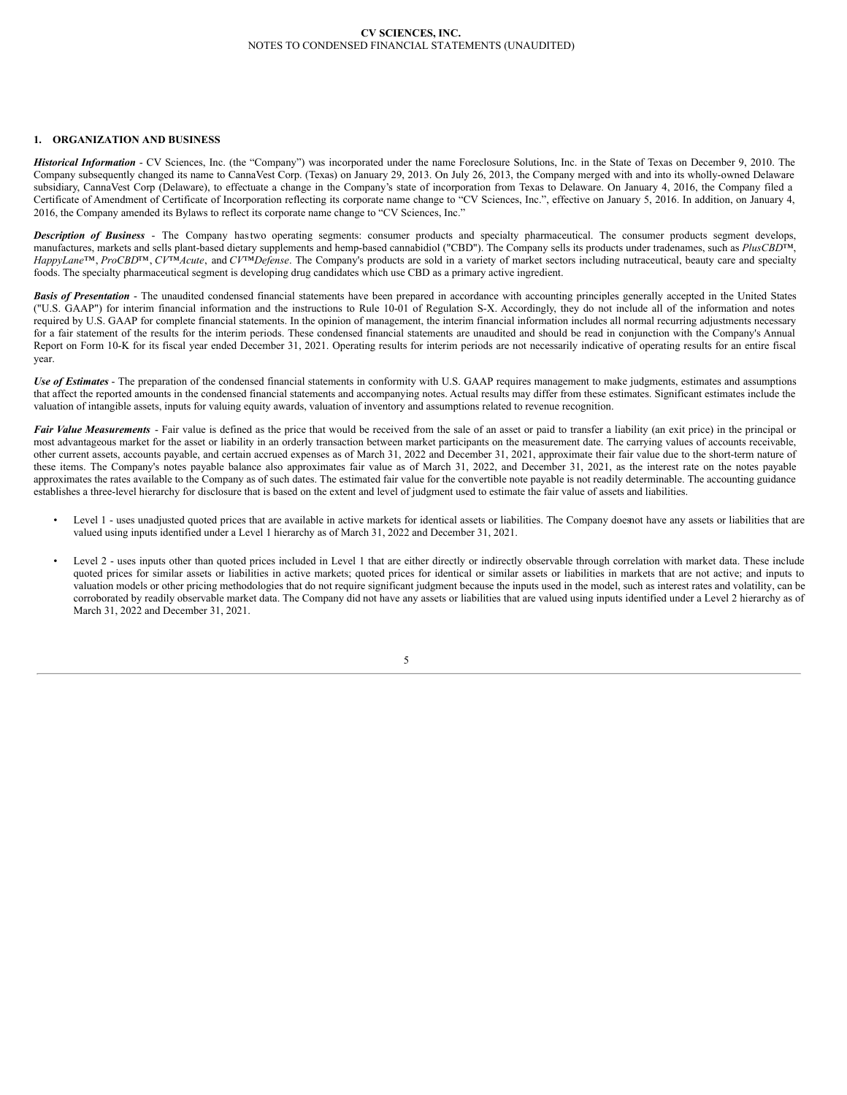## **1. ORGANIZATION AND BUSINESS**

*Historical Information* - CV Sciences, Inc. (the "Company") was incorporated under the name Foreclosure Solutions, Inc. in the State of Texas on December 9, 2010. The Company subsequently changed its name to CannaVest Corp. (Texas) on January 29, 2013. On July 26, 2013, the Company merged with and into its wholly-owned Delaware subsidiary, CannaVest Corp (Delaware), to effectuate a change in the Company's state of incorporation from Texas to Delaware. On January 4, 2016, the Company filed a Certificate of Amendment of Certificate of Incorporation reflecting its corporate name change to "CV Sciences, Inc.", effective on January 5, 2016. In addition, on January 4, 2016, the Company amended its Bylaws to reflect its corporate name change to "CV Sciences, Inc."

*Description of Business* - The Company hastwo operating segments: consumer products and specialty pharmaceutical. The consumer products segment develops, manufactures, markets and sells plant-based dietary supplements and hemp-based cannabidiol ("CBD"). The Company sells its products under tradenames, such as *PlusCBD*™, *HappyLane*™, *ProCBD*™, *CV*™*Acute*, and *CV*™*Defense*. The Company's products are sold in a variety of market sectors including nutraceutical, beauty care and specialty foods. The specialty pharmaceutical segment is developing drug candidates which use CBD as a primary active ingredient.

**Basis of Presentation** - The unaudited condensed financial statements have been prepared in accordance with accounting principles generally accepted in the United States ("U.S. GAAP") for interim financial information and the instructions to Rule 10-01 of Regulation S-X. Accordingly, they do not include all of the information and notes required by U.S. GAAP for complete financial statements. In the opinion of management, the interim financial information includes all normal recurring adjustments necessary for a fair statement of the results for the interim periods. These condensed financial statements are unaudited and should be read in conjunction with the Company's Annual Report on Form 10-K for its fiscal year ended December 31, 2021. Operating results for interim periods are not necessarily indicative of operating results for an entire fiscal year.

*Use of Estimates* - The preparation of the condensed financial statements in conformity with U.S. GAAP requires management to make judgments, estimates and assumptions that affect the reported amounts in the condensed financial statements and accompanying notes. Actual results may differ from these estimates. Significant estimates include the valuation of intangible assets, inputs for valuing equity awards, valuation of inventory and assumptions related to revenue recognition.

**Fair Value Measurements** - Fair value is defined as the price that would be received from the sale of an asset or paid to transfer a liability (an exit price) in the principal or most advantageous market for the asset or liability in an orderly transaction between market participants on the measurement date. The carrying values of accounts receivable, other current assets, accounts payable, and certain accrued expenses as of March 31, 2022 and December 31, 2021, approximate their fair value due to the short-term nature of these items. The Company's notes payable balance also approximates fair value as of March 31, 2022, and December 31, 2021, as the interest rate on the notes payable approximates the rates available to the Company as of such dates. The estimated fair value for the convertible note payable is not readily determinable. The accounting guidance establishes a three-level hierarchy for disclosure that is based on the extent and level of judgment used to estimate the fair value of assets and liabilities.

- Level 1 uses unadjusted quoted prices that are available in active markets for identical assets or liabilities. The Company doesnot have any assets or liabilities that are valued using inputs identified under a Level 1 hierarchy as of March 31, 2022 and December 31, 2021.
- Level 2 uses inputs other than quoted prices included in Level 1 that are either directly or indirectly observable through correlation with market data. These include quoted prices for similar assets or liabilities in active markets; quoted prices for identical or similar assets or liabilities in markets that are not active; and inputs to valuation models or other pricing methodologies that do not require significant judgment because the inputs used in the model, such as interest rates and volatility, can be corroborated by readily observable market data. The Company did not have any assets or liabilities that are valued using inputs identified under a Level 2 hierarchy as of March 31, 2022 and December 31, 2021.

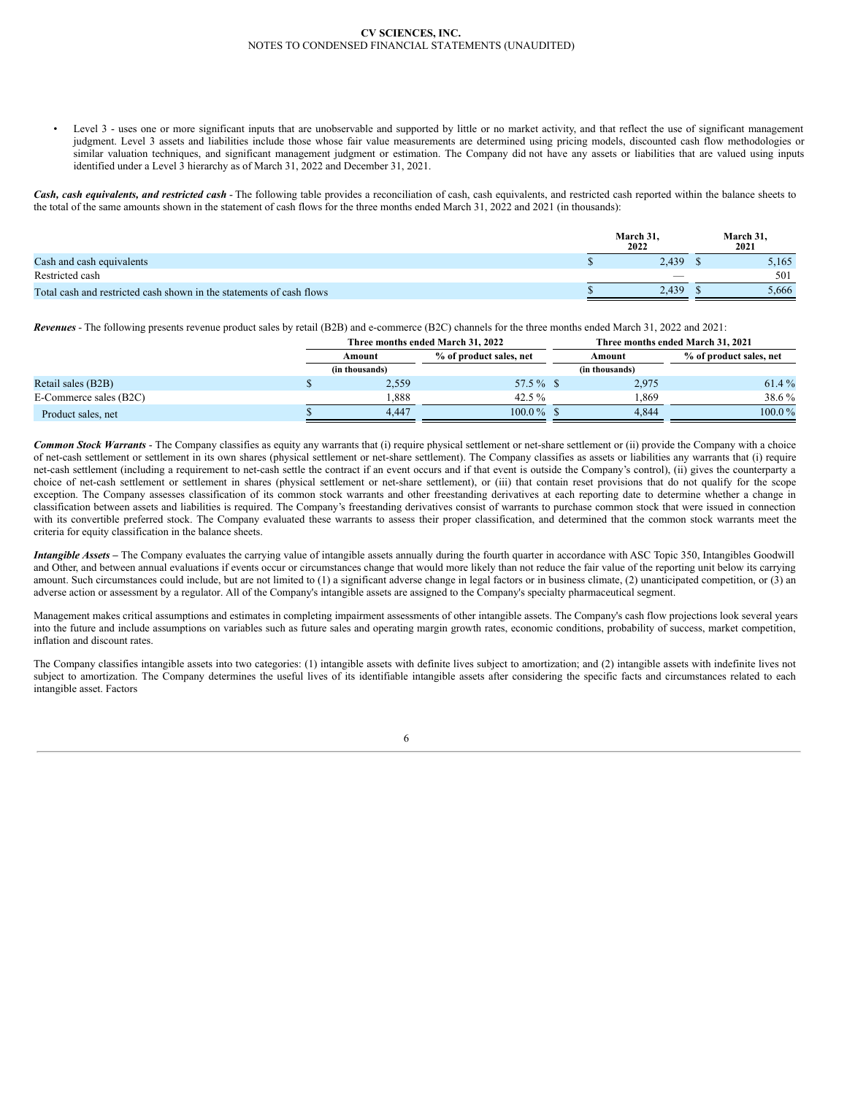Level 3 - uses one or more significant inputs that are unobservable and supported by little or no market activity, and that reflect the use of significant management judgment. Level 3 assets and liabilities include those whose fair value measurements are determined using pricing models, discounted cash flow methodologies or similar valuation techniques, and significant management judgment or estimation. The Company did not have any assets or liabilities that are valued using inputs identified under a Level 3 hierarchy as of March 31, 2022 and December 31, 2021.

*Cash, cash equivalents, and restricted cash* - The following table provides a reconciliation of cash, cash equivalents, and restricted cash reported within the balance sheets to the total of the same amounts shown in the statement of cash flows for the three months ended March 31, 2022 and 2021 (in thousands):

|                                                                      | March 31.<br>2022 | <b>March 31</b><br>2021 |
|----------------------------------------------------------------------|-------------------|-------------------------|
| Cash and cash equivalents                                            | 2,439             | 5,165                   |
| Restricted cash                                                      | _                 | 501                     |
| Total cash and restricted cash shown in the statements of cash flows | 2.439             | 5,666                   |

*Revenues* - The following presents revenue product sales by retail (B2B) and e-commerce (B2C) channels for the three months ended March 31, 2022 and 2021:

|                        | Three months ended March 31, 2022 |                         |  | Three months ended March 31, 2021 |                         |  |  |  |
|------------------------|-----------------------------------|-------------------------|--|-----------------------------------|-------------------------|--|--|--|
|                        | Amount                            | % of product sales, net |  | Amount                            | % of product sales, net |  |  |  |
|                        | (in thousands)                    |                         |  | (in thousands)                    |                         |  |  |  |
| Retail sales (B2B)     | 2,559                             | 57.5 % \$               |  | 2,975                             | 61.4 %                  |  |  |  |
| E-Commerce sales (B2C) | 1.888                             | 42.5 $\%$               |  | .869                              | 38.6 %                  |  |  |  |
| Product sales, net     | 4.447                             | $100.0\%$ \$            |  | 4.844                             | $100.0\%$               |  |  |  |

*Common Stock Warrants* - The Company classifies as equity any warrants that (i) require physical settlement or net-share settlement or (ii) provide the Company with a choice of net-cash settlement or settlement in its own shares (physical settlement or net-share settlement). The Company classifies as assets or liabilities any warrants that (i) require net-cash settlement (including a requirement to net-cash settle the contract if an event occurs and if that event is outside the Company's control), (ii) gives the counterparty a choice of net-cash settlement or settlement in shares (physical settlement or net-share settlement), or (iii) that contain reset provisions that do not qualify for the scope exception. The Company assesses classification of its common stock warrants and other freestanding derivatives at each reporting date to determine whether a change in classification between assets and liabilities is required. The Company's freestanding derivatives consist of warrants to purchase common stock that were issued in connection with its convertible preferred stock. The Company evaluated these warrants to assess their proper classification, and determined that the common stock warrants meet the criteria for equity classification in the balance sheets.

*Intangible Assets –* The Company evaluates the carrying value of intangible assets annually during the fourth quarter in accordance with ASC Topic 350, Intangibles Goodwill and Other, and between annual evaluations if events occur or circumstances change that would more likely than not reduce the fair value of the reporting unit below its carrying amount. Such circumstances could include, but are not limited to (1) a significant adverse change in legal factors or in business climate, (2) unanticipated competition, or (3) an adverse action or assessment by a regulator. All of the Company's intangible assets are assigned to the Company's specialty pharmaceutical segment.

Management makes critical assumptions and estimates in completing impairment assessments of other intangible assets. The Company's cash flow projections look several years into the future and include assumptions on variables such as future sales and operating margin growth rates, economic conditions, probability of success, market competition, inflation and discount rates.

The Company classifies intangible assets into two categories: (1) intangible assets with definite lives subject to amortization; and (2) intangible assets with indefinite lives not subject to amortization. The Company determines the useful lives of its identifiable intangible assets after considering the specific facts and circumstances related to each intangible asset. Factors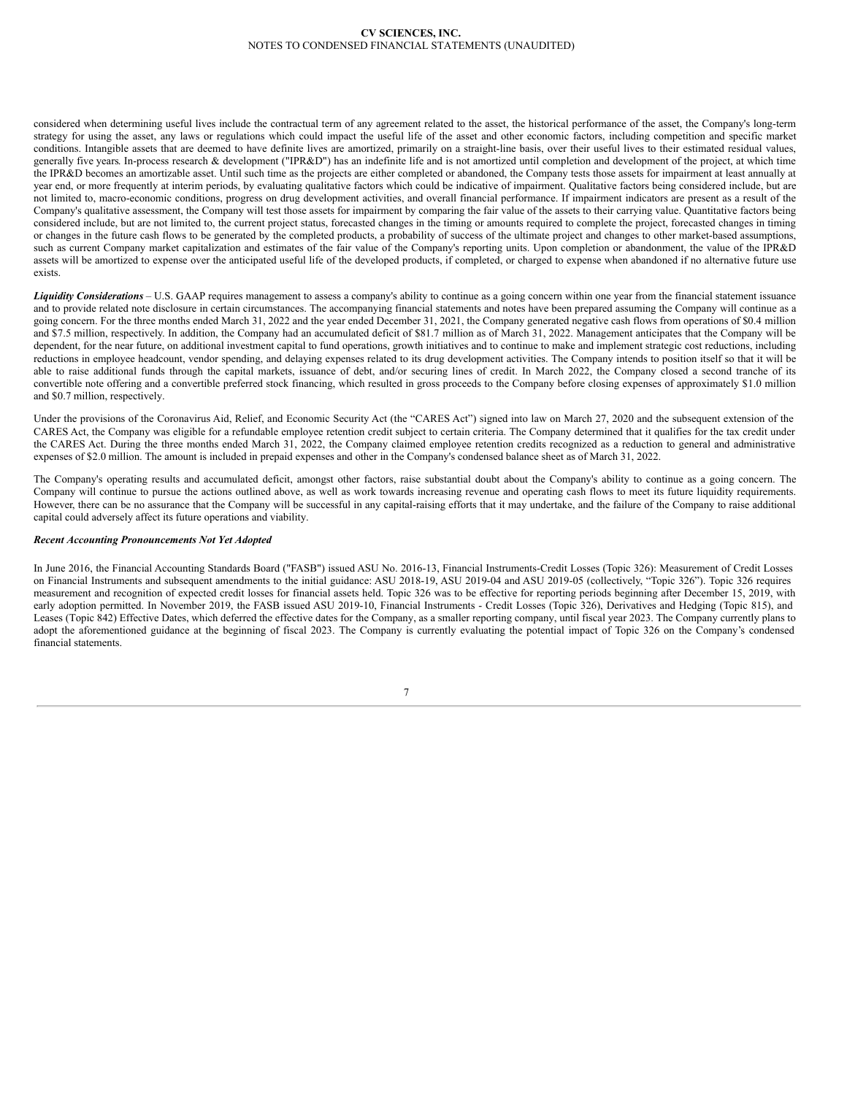considered when determining useful lives include the contractual term of any agreement related to the asset, the historical performance of the asset, the Company's long-term strategy for using the asset, any laws or regulations which could impact the useful life of the asset and other economic factors, including competition and specific market conditions. Intangible assets that are deemed to have definite lives are amortized, primarily on a straight-line basis, over their useful lives to their estimated residual values, generally five years. In-process research & development ("IPR&D") has an indefinite life and is not amortized until completion and development of the project, at which time the IPR&D becomes an amortizable asset. Until such time as the projects are either completed or abandoned, the Company tests those assets for impairment at least annually at year end, or more frequently at interim periods, by evaluating qualitative factors which could be indicative of impairment. Qualitative factors being considered include, but are not limited to, macro-economic conditions, progress on drug development activities, and overall financial performance. If impairment indicators are present as a result of the Company's qualitative assessment, the Company will test those assets for impairment by comparing the fair value of the assets to their carrying value. Quantitative factors being considered include, but are not limited to, the current project status, forecasted changes in the timing or amounts required to complete the project, forecasted changes in timing or changes in the future cash flows to be generated by the completed products, a probability of success of the ultimate project and changes to other market-based assumptions, such as current Company market capitalization and estimates of the fair value of the Company's reporting units. Upon completion or abandonment, the value of the IPR&D assets will be amortized to expense over the anticipated useful life of the developed products, if completed, or charged to expense when abandoned if no alternative future use exists.

*Liquidity Considerations* – U.S. GAAP requires management to assess a company's ability to continue as a going concern within one year from the financial statement issuance and to provide related note disclosure in certain circumstances. The accompanying financial statements and notes have been prepared assuming the Company will continue as a going concern. For the three months ended March 31, 2022 and the year ended December 31, 2021, the Company generated negative cash flows from operations of \$0.4 million and \$7.5 million, respectively. In addition, the Company had an accumulated deficit of \$81.7 million as of March 31, 2022. Management anticipates that the Company will be dependent, for the near future, on additional investment capital to fund operations, growth initiatives and to continue to make and implement strategic cost reductions, including reductions in employee headcount, vendor spending, and delaying expenses related to its drug development activities. The Company intends to position itself so that it will be able to raise additional funds through the capital markets, issuance of debt, and/or securing lines of credit. In March 2022, the Company closed a second tranche of its convertible note offering and a convertible preferred stock financing, which resulted in gross proceeds to the Company before closing expenses of approximately \$1.0 million and \$0.7 million, respectively.

Under the provisions of the Coronavirus Aid, Relief, and Economic Security Act (the "CARES Act") signed into law on March 27, 2020 and the subsequent extension of the CARES Act, the Company was eligible for a refundable employee retention credit subject to certain criteria. The Company determined that it qualifies for the tax credit under the CARES Act. During the three months ended March 31, 2022, the Company claimed employee retention credits recognized as a reduction to general and administrative expenses of \$2.0 million. The amount is included in prepaid expenses and other in the Company's condensed balance sheet as of March 31, 2022.

The Company's operating results and accumulated deficit, amongst other factors, raise substantial doubt about the Company's ability to continue as a going concern. The Company will continue to pursue the actions outlined above, as well as work towards increasing revenue and operating cash flows to meet its future liquidity requirements. However, there can be no assurance that the Company will be successful in any capital-raising efforts that it may undertake, and the failure of the Company to raise additional capital could adversely affect its future operations and viability.

### *Recent Accounting Pronouncements Not Yet Adopted*

In June 2016, the Financial Accounting Standards Board ("FASB") issued ASU No. 2016-13, Financial Instruments-Credit Losses (Topic 326): Measurement of Credit Losses on Financial Instruments and subsequent amendments to the initial guidance: ASU 2018-19, ASU 2019-04 and ASU 2019-05 (collectively, "Topic 326"). Topic 326 requires measurement and recognition of expected credit losses for financial assets held. Topic 326 was to be effective for reporting periods beginning after December 15, 2019, with early adoption permitted. In November 2019, the FASB issued ASU 2019-10, Financial Instruments - Credit Losses (Topic 326), Derivatives and Hedging (Topic 815), and Leases (Topic 842) Effective Dates, which deferred the effective dates for the Company, as a smaller reporting company, until fiscal year 2023. The Company currently plans to adopt the aforementioned guidance at the beginning of fiscal 2023. The Company is currently evaluating the potential impact of Topic 326 on the Company's condensed financial statements.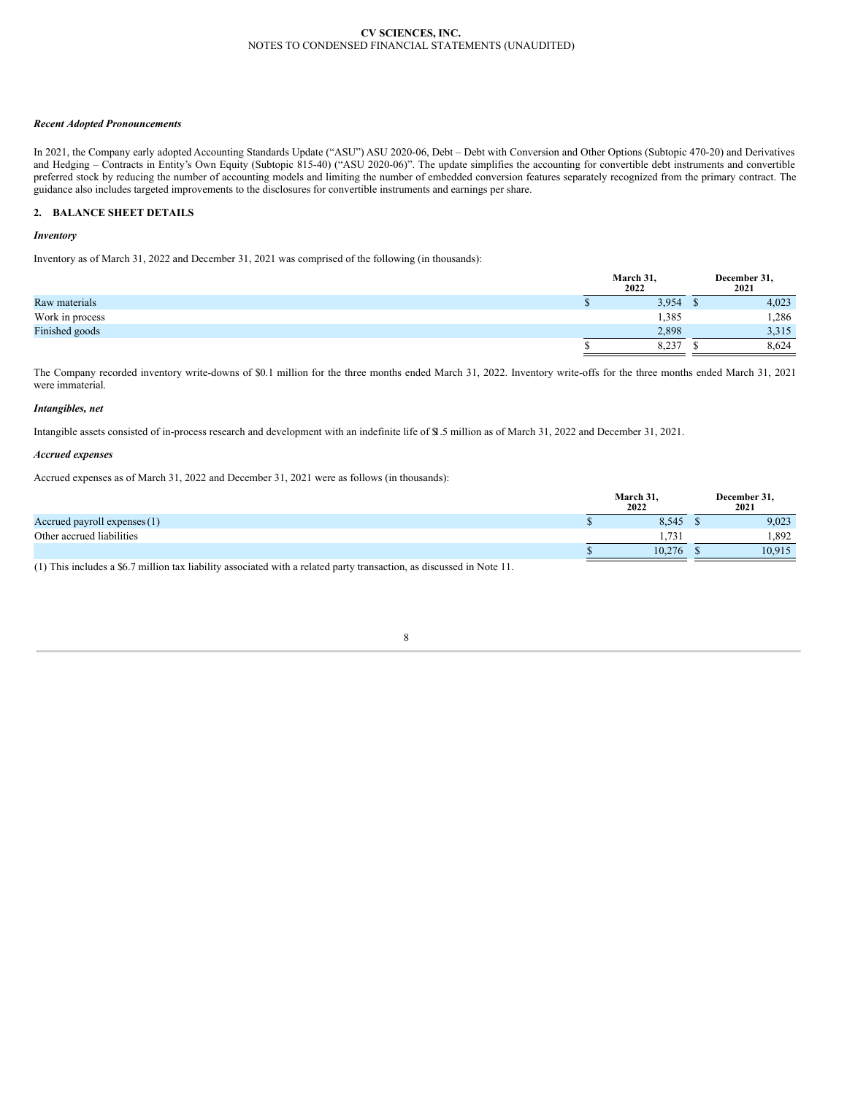### *Recent Adopted Pronouncements*

In 2021, the Company early adopted Accounting Standards Update ("ASU") ASU 2020-06, Debt – Debt with Conversion and Other Options (Subtopic 470-20) and Derivatives and Hedging – Contracts in Entity's Own Equity (Subtopic 815-40) ("ASU 2020-06)". The update simplifies the accounting for convertible debt instruments and convertible preferred stock by reducing the number of accounting models and limiting the number of embedded conversion features separately recognized from the primary contract. The guidance also includes targeted improvements to the disclosures for convertible instruments and earnings per share.

# **2. BALANCE SHEET DETAILS**

### *Inventory*

Inventory as of March 31, 2022 and December 31, 2021 was comprised of the following (in thousands):

|                 | March 31,<br>2022 | December 31,<br>2021 |
|-----------------|-------------------|----------------------|
| Raw materials   | 3,954             | 4,023                |
| Work in process | 1,385             | . 286                |
| Finished goods  | 2.898             | 3,315                |
|                 | 8,237             | 8.624                |

The Company recorded inventory write-downs of \$0.1 million for the three months ended March 31, 2022. Inventory write-offs for the three months ended March 31, 2021 were immaterial.

### *Intangibles, net*

Intangible assets consisted of in-process research and development with an indefinite life of \$1.5 million as of March 31, 2022 and December 31, 2021.

#### *Accrued expenses*

Accrued expenses as of March 31, 2022 and December 31, 2021 were as follows (in thousands):

|                                | March 31,<br>2022 | December 31,<br>2021 |
|--------------------------------|-------------------|----------------------|
| Accrued payroll expenses $(1)$ | 8,545             | 9,023                |
| Other accrued liabilities      | .731              | .892                 |
|                                | 10.276            | 10.915               |

(1) This includes a \$6.7 million tax liability associated with a related party transaction, as discussed in Note 11.

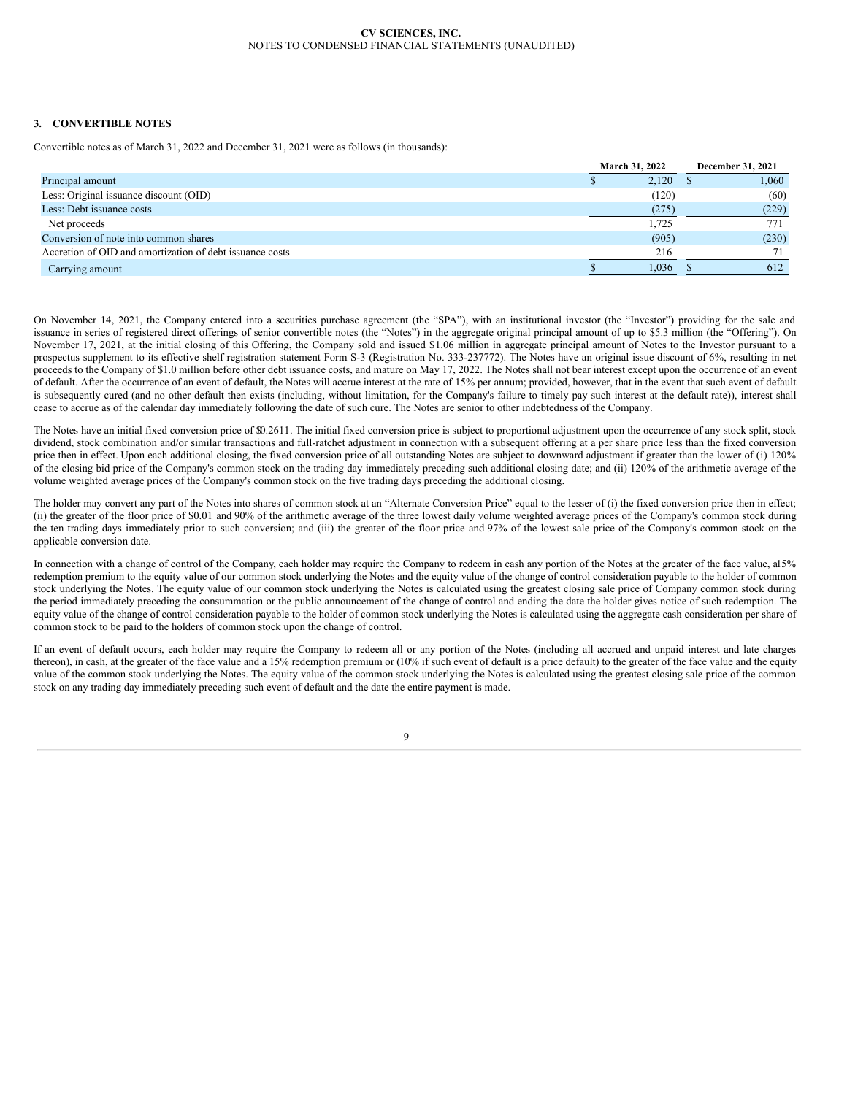# **3. CONVERTIBLE NOTES**

Convertible notes as of March 31, 2022 and December 31, 2021 were as follows (in thousands):

|                                                          | <b>March 31, 2022</b> | <b>December 31, 2021</b> |
|----------------------------------------------------------|-----------------------|--------------------------|
| Principal amount                                         | 2,120                 | 1,060                    |
| Less: Original issuance discount (OID)                   | (120)                 | (60)                     |
| Less: Debt issuance costs                                | (275)                 | (229)                    |
| Net proceeds                                             | 1.725                 | 771                      |
| Conversion of note into common shares                    | (905)                 | (230)                    |
| Accretion of OID and amortization of debt issuance costs | 216                   | 71                       |
| Carrying amount                                          | 1.036                 | 612                      |

On November 14, 2021, the Company entered into a securities purchase agreement (the "SPA"), with an institutional investor (the "Investor") providing for the sale and issuance in series of registered direct offerings of senior convertible notes (the "Notes") in the aggregate original principal amount of up to \$5.3 million (the "Offering"). On November 17, 2021, at the initial closing of this Offering, the Company sold and issued \$1.06 million in aggregate principal amount of Notes to the Investor pursuant to a prospectus supplement to its effective shelf registration statement Form S-3 (Registration No. 333-237772). The Notes have an original issue discount of 6%, resulting in net proceeds to the Company of \$1.0 million before other debt issuance costs, and mature on May 17, 2022. The Notes shall not bear interest except upon the occurrence of an event of default. After the occurrence of an event of default, the Notes will accrue interest at the rate of 15% per annum; provided, however, that in the event that such event of default is subsequently cured (and no other default then exists (including, without limitation, for the Company's failure to timely pay such interest at the default rate)), interest shall cease to accrue as of the calendar day immediately following the date of such cure. The Notes are senior to other indebtedness of the Company.

The Notes have an initial fixed conversion price of \$0.2611. The initial fixed conversion price is subject to proportional adjustment upon the occurrence of any stock split, stock dividend, stock combination and/or similar transactions and full-ratchet adjustment in connection with a subsequent offering at a per share price less than the fixed conversion price then in effect. Upon each additional closing, the fixed conversion price of all outstanding Notes are subject to downward adjustment if greater than the lower of (i) 120% of the closing bid price of the Company's common stock on the trading day immediately preceding such additional closing date; and (ii) 120% of the arithmetic average of the volume weighted average prices of the Company's common stock on the five trading days preceding the additional closing.

The holder may convert any part of the Notes into shares of common stock at an "Alternate Conversion Price" equal to the lesser of (i) the fixed conversion price then in effect; (ii) the greater of the floor price of \$0.01 and 90% of the arithmetic average of the three lowest daily volume weighted average prices of the Company's common stock during the ten trading days immediately prior to such conversion; and (iii) the greater of the floor price and 97% of the lowest sale price of the Company's common stock on the applicable conversion date.

In connection with a change of control of the Company, each holder may require the Company to redeem in cash any portion of the Notes at the greater of the face value, al 5% redemption premium to the equity value of our common stock underlying the Notes and the equity value of the change of control consideration payable to the holder of common stock underlying the Notes. The equity value of our common stock underlying the Notes is calculated using the greatest closing sale price of Company common stock during the period immediately preceding the consummation or the public announcement of the change of control and ending the date the holder gives notice of such redemption. The equity value of the change of control consideration payable to the holder of common stock underlying the Notes is calculated using the aggregate cash consideration per share of common stock to be paid to the holders of common stock upon the change of control.

If an event of default occurs, each holder may require the Company to redeem all or any portion of the Notes (including all accrued and unpaid interest and late charges thereon), in cash, at the greater of the face value and a 15% redemption premium or (10% if such event of default is a price default) to the greater of the face value and the equity value of the common stock underlying the Notes. The equity value of the common stock underlying the Notes is calculated using the greatest closing sale price of the common stock on any trading day immediately preceding such event of default and the date the entire payment is made.

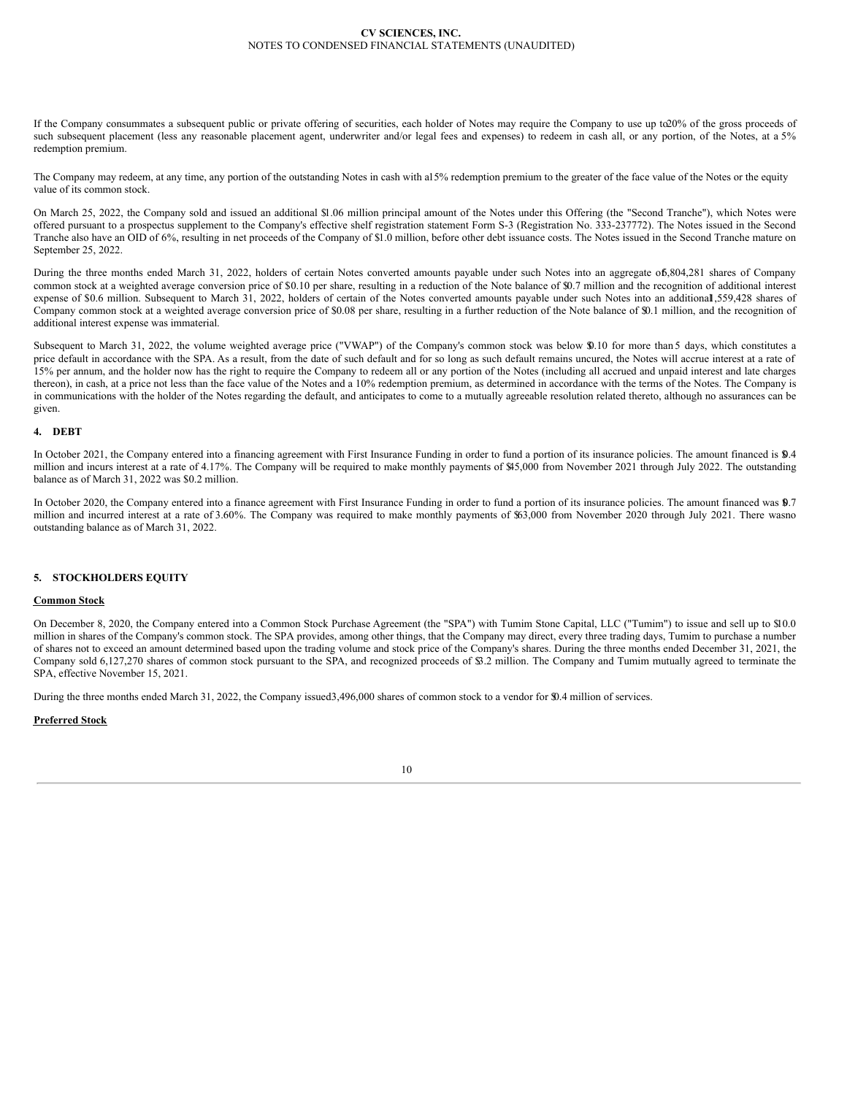If the Company consummates a subsequent public or private offering of securities, each holder of Notes may require the Company to use up to20% of the gross proceeds of such subsequent placement (less any reasonable placement agent, underwriter and/or legal fees and expenses) to redeem in cash all, or any portion, of the Notes, at a 5% redemption premium.

The Company may redeem, at any time, any portion of the outstanding Notes in cash with a15% redemption premium to the greater of the face value of the Notes or the equity value of its common stock.

On March 25, 2022, the Company sold and issued an additional \$1.06 million principal amount of the Notes under this Offering (the "Second Tranche"), which Notes were offered pursuant to a prospectus supplement to the Company's effective shelf registration statement Form S-3 (Registration No. 333-237772). The Notes issued in the Second Tranche also have an OID of 6%, resulting in net proceeds of the Company of \$1.0 million, before other debt issuance costs. The Notes issued in the Second Tranche mature on September 25, 2022.

During the three months ended March 31, 2022, holders of certain Notes converted amounts payable under such Notes into an aggregate of6,804,281 shares of Company common stock at a weighted average conversion price of \$0.10 per share, resulting in a reduction of the Note balance of \$0.7 million and the recognition of additional interest expense of \$0.6 million. Subsequent to March 31, 2022, holders of certain of the Notes converted amounts payable under such Notes into an additional ,559,428 shares of Company common stock at a weighted average conversion price of \$0.08 per share, resulting in a further reduction of the Note balance of \$0.1 million, and the recognition of additional interest expense was immaterial.

Subsequent to March 31, 2022, the volume weighted average price ("VWAP") of the Company's common stock was below \$0.10 for more than 5 days, which constitutes a price default in accordance with the SPA. As a result, from the date of such default and for so long as such default remains uncured, the Notes will accrue interest at a rate of 15% per annum, and the holder now has the right to require the Company to redeem all or any portion of the Notes (including all accrued and unpaid interest and late charges thereon), in cash, at a price not less than the face value of the Notes and a 10% redemption premium, as determined in accordance with the terms of the Notes. The Company is in communications with the holder of the Notes regarding the default, and anticipates to come to a mutually agreeable resolution related thereto, although no assurances can be given.

# **4. DEBT**

In October 2021, the Company entered into a financing agreement with First Insurance Funding in order to fund a portion of its insurance policies. The amount financed is \$0.4 million and incurs interest at a rate of 4.17%. The Company will be required to make monthly payments of \$45,000 from November 2021 through July 2022. The outstanding balance as of March 31, 2022 was \$0.2 million.

In October 2020, the Company entered into a finance agreement with First Insurance Funding in order to fund a portion of its insurance policies. The amount financed was 9.7 million and incurred interest at a rate of 3.60%. The Company was required to make monthly payments of \$63,000 from November 2020 through July 2021. There wasno outstanding balance as of March 31, 2022.

# **5. STOCKHOLDERS EQUITY**

## **Common Stock**

On December 8, 2020, the Company entered into a Common Stock Purchase Agreement (the "SPA") with Tumim Stone Capital, LLC ("Tumim") to issue and sell up to \$10.0 million in shares of the Company's common stock. The SPA provides, among other things, that the Company may direct, every three trading days, Tumim to purchase a number of shares not to exceed an amount determined based upon the trading volume and stock price of the Company's shares. During the three months ended December 31, 2021, the Company sold 6,127,270 shares of common stock pursuant to the SPA, and recognized proceeds of \$3.2 million. The Company and Tumim mutually agreed to terminate the SPA, effective November 15, 2021.

During the three months ended March 31, 2022, the Company issued3,496,000 shares of common stock to a vendor for \$0.4 million of services.

# **Preferred Stock**

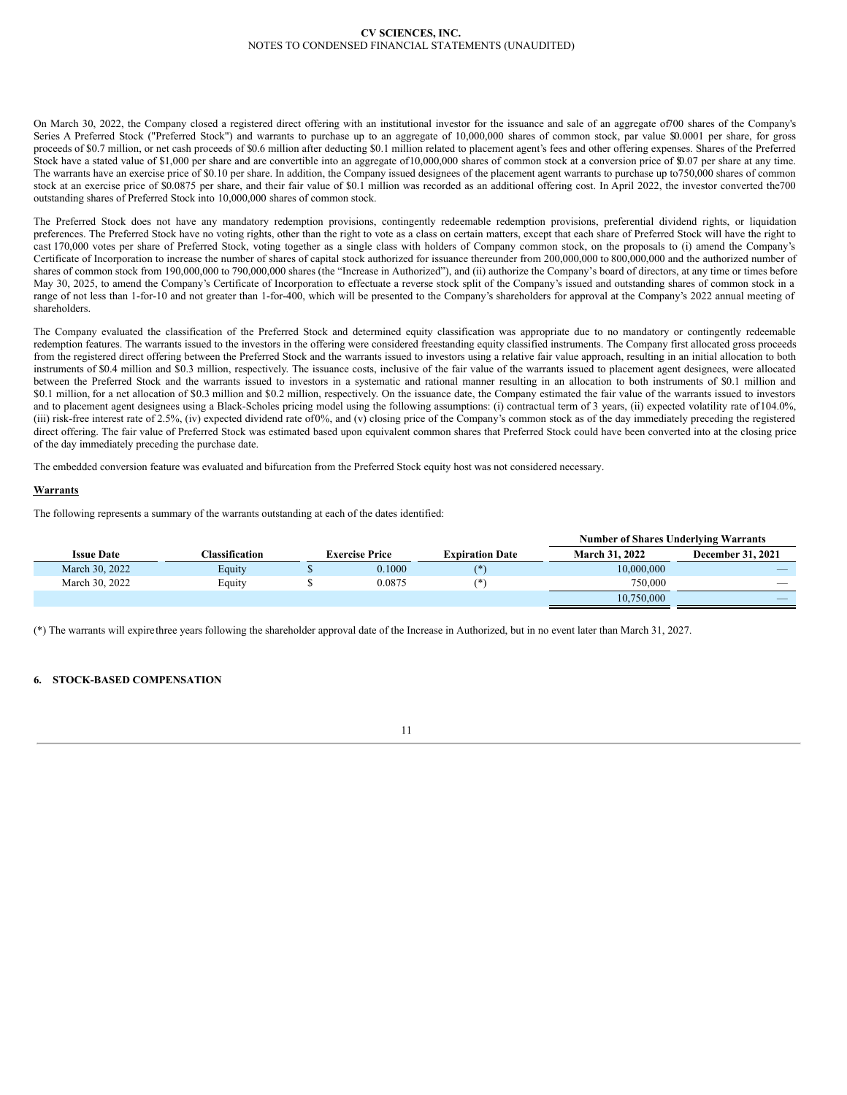On March 30, 2022, the Company closed a registered direct offering with an institutional investor for the issuance and sale of an aggregate of700 shares of the Company's Series A Preferred Stock ("Preferred Stock") and warrants to purchase up to an aggregate of 10,000,000 shares of common stock, par value \$0.0001 per share, for gross proceeds of \$0.7 million, or net cash proceeds of \$0.6 million after deducting \$0.1 million related to placement agent's fees and other offering expenses. Shares of the Preferred Stock have a stated value of \$1,000 per share and are convertible into an aggregate of10,000,000 shares of common stock at a conversion price of \$0.07 per share at any time. The warrants have an exercise price of \$0.10 per share. In addition, the Company issued designees of the placement agent warrants to purchase up to750,000 shares of common stock at an exercise price of \$0.0875 per share, and their fair value of \$0.1 million was recorded as an additional offering cost. In April 2022, the investor converted the700 outstanding shares of Preferred Stock into 10,000,000 shares of common stock.

The Preferred Stock does not have any mandatory redemption provisions, contingently redeemable redemption provisions, preferential dividend rights, or liquidation preferences. The Preferred Stock have no voting rights, other than the right to vote as a class on certain matters, except that each share of Preferred Stock will have the right to cast 170,000 votes per share of Preferred Stock, voting together as a single class with holders of Company common stock, on the proposals to (i) amend the Company's Certificate of Incorporation to increase the number of shares of capital stock authorized for issuance thereunder from 200,000,000 to 800,000,000 and the authorized number of shares of common stock from 190,000,000 to 790,000,000 shares (the "Increase in Authorized"), and (ii) authorize the Company's board of directors, at any time or times before May 30, 2025, to amend the Company's Certificate of Incorporation to effectuate a reverse stock split of the Company's issued and outstanding shares of common stock in a range of not less than 1-for-10 and not greater than 1-for-400, which will be presented to the Company's shareholders for approval at the Company's 2022 annual meeting of shareholders.

The Company evaluated the classification of the Preferred Stock and determined equity classification was appropriate due to no mandatory or contingently redeemable redemption features. The warrants issued to the investors in the offering were considered freestanding equity classified instruments. The Company first allocated gross proceeds from the registered direct offering between the Preferred Stock and the warrants issued to investors using a relative fair value approach, resulting in an initial allocation to both instruments of \$0.4 million and \$0.3 million, respectively. The issuance costs, inclusive of the fair value of the warrants issued to placement agent designees, were allocated between the Preferred Stock and the warrants issued to investors in a systematic and rational manner resulting in an allocation to both instruments of \$0.1 million and \$0.1 million, for a net allocation of \$0.3 million and \$0.2 million, respectively. On the issuance date, the Company estimated the fair value of the warrants issued to investors and to placement agent designees using a Black-Scholes pricing model using the following assumptions: (i) contractual term of 3 years, (ii) expected volatility rate of 104.0%, (iii) risk-free interest rate of 2.5%, (iv) expected dividend rate of0%, and (v) closing price of the Company's common stock as of the day immediately preceding the registered direct offering. The fair value of Preferred Stock was estimated based upon equivalent common shares that Preferred Stock could have been converted into at the closing price of the day immediately preceding the purchase date.

The embedded conversion feature was evaluated and bifurcation from the Preferred Stock equity host was not considered necessary.

# **Warrants**

The following represents a summary of the warrants outstanding at each of the dates identified:

|                   |                       |                       |        |                        | <b>Number of Shares Underlying Warrants</b> |                          |
|-------------------|-----------------------|-----------------------|--------|------------------------|---------------------------------------------|--------------------------|
| <b>Issue Date</b> | <b>Classification</b> | <b>Exercise Price</b> |        | <b>Expiration Date</b> | March 31, 2022                              | <b>December 31, 2021</b> |
| March 30, 2022    | Equity                |                       | 0.1000 | (*`                    | 10,000,000                                  | $-$                      |
| March 30, 2022    | Equity                |                       | 0.0875 | /*`                    | 750,000                                     | $\overline{\phantom{a}}$ |
|                   |                       |                       |        |                        | 10.750,000                                  | _                        |

(\*) The warrants will expirethree years following the shareholder approval date of the Increase in Authorized, but in no event later than March 31, 2027.

## **6. STOCK-BASED COMPENSATION**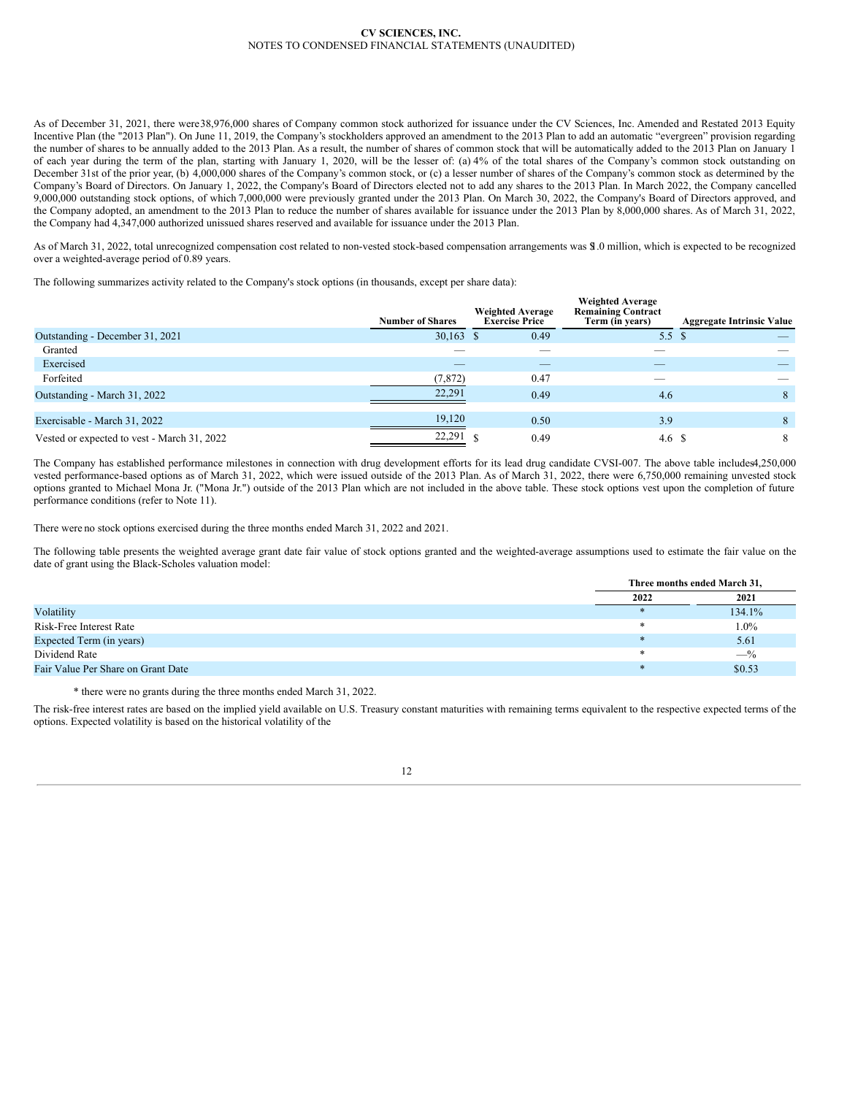As of December 31, 2021, there were38,976,000 shares of Company common stock authorized for issuance under the CV Sciences, Inc. Amended and Restated 2013 Equity Incentive Plan (the "2013 Plan"). On June 11, 2019, the Company's stockholders approved an amendment to the 2013 Plan to add an automatic "evergreen" provision regarding the number of shares to be annually added to the 2013 Plan. As a result, the number of shares of common stock that will be automatically added to the 2013 Plan on January 1 of each year during the term of the plan, starting with January 1, 2020, will be the lesser of: (a) 4% of the total shares of the Company's common stock outstanding on December 31st of the prior year, (b) 4,000,000 shares of the Company's common stock, or (c) a lesser number of shares of the Company's common stock as determined by the Company's Board of Directors. On January 1, 2022, the Company's Board of Directors elected not to add any shares to the 2013 Plan. In March 2022, the Company cancelled 9,000,000 outstanding stock options, of which 7,000,000 were previously granted under the 2013 Plan. On March 30, 2022, the Company's Board of Directors approved, and the Company adopted, an amendment to the 2013 Plan to reduce the number of shares available for issuance under the 2013 Plan by 8,000,000 shares. As of March 31, 2022, the Company had 4,347,000 authorized unissued shares reserved and available for issuance under the 2013 Plan.

As of March 31, 2022, total unrecognized compensation cost related to non-vested stock-based compensation arrangements was \$1.0 million, which is expected to be recognized over a weighted-average period of 0.89 years.

The following summarizes activity related to the Company's stock options (in thousands, except per share data):

|                                             | <b>Number of Shares</b> | <b>Weighted Average</b><br><b>Exercise Price</b> | <b>Weighted Average</b><br><b>Remaining Contract</b><br>Term (in years) | <b>Aggregate Intrinsic Value</b> |
|---------------------------------------------|-------------------------|--------------------------------------------------|-------------------------------------------------------------------------|----------------------------------|
| Outstanding - December 31, 2021             | $30,163$ \$             | 0.49                                             | 5.5 $\sqrt{3}$                                                          |                                  |
| Granted                                     |                         |                                                  |                                                                         |                                  |
| Exercised                                   | $-$                     | _                                                | _                                                                       |                                  |
| Forfeited                                   | (7, 872)                | 0.47                                             | _                                                                       |                                  |
| Outstanding - March 31, 2022                | 22.291                  | 0.49                                             | 4.6                                                                     | 8                                |
| Exercisable - March 31, 2022                | 19.120                  | 0.50                                             | 3.9                                                                     | 8                                |
| Vested or expected to vest - March 31, 2022 | 22,291                  | 0.49                                             | 4.6 S                                                                   | 8                                |

The Company has established performance milestones in connection with drug development efforts for its lead drug candidate CVSI-007. The above table includes4,250,000 vested performance-based options as of March 31, 2022, which were issued outside of the 2013 Plan. As of March 31, 2022, there were 6,750,000 remaining unvested stock options granted to Michael Mona Jr. ("Mona Jr.") outside of the 2013 Plan which are not included in the above table. These stock options vest upon the completion of future performance conditions (refer to Note 11).

There were no stock options exercised during the three months ended March 31, 2022 and 2021.

The following table presents the weighted average grant date fair value of stock options granted and the weighted-average assumptions used to estimate the fair value on the date of grant using the Black-Scholes valuation model:

|                                    | Three months ended March 31. |        |  |
|------------------------------------|------------------------------|--------|--|
|                                    | 2022                         | 2021   |  |
| Volatility                         |                              | 134.1% |  |
| Risk-Free Interest Rate            |                              | 1.0%   |  |
| Expected Term (in years)           |                              | 5.61   |  |
| Dividend Rate                      |                              | $-$ %  |  |
| Fair Value Per Share on Grant Date |                              | \$0.53 |  |

\* there were no grants during the three months ended March 31, 2022.

The risk-free interest rates are based on the implied yield available on U.S. Treasury constant maturities with remaining terms equivalent to the respective expected terms of the options. Expected volatility is based on the historical volatility of the

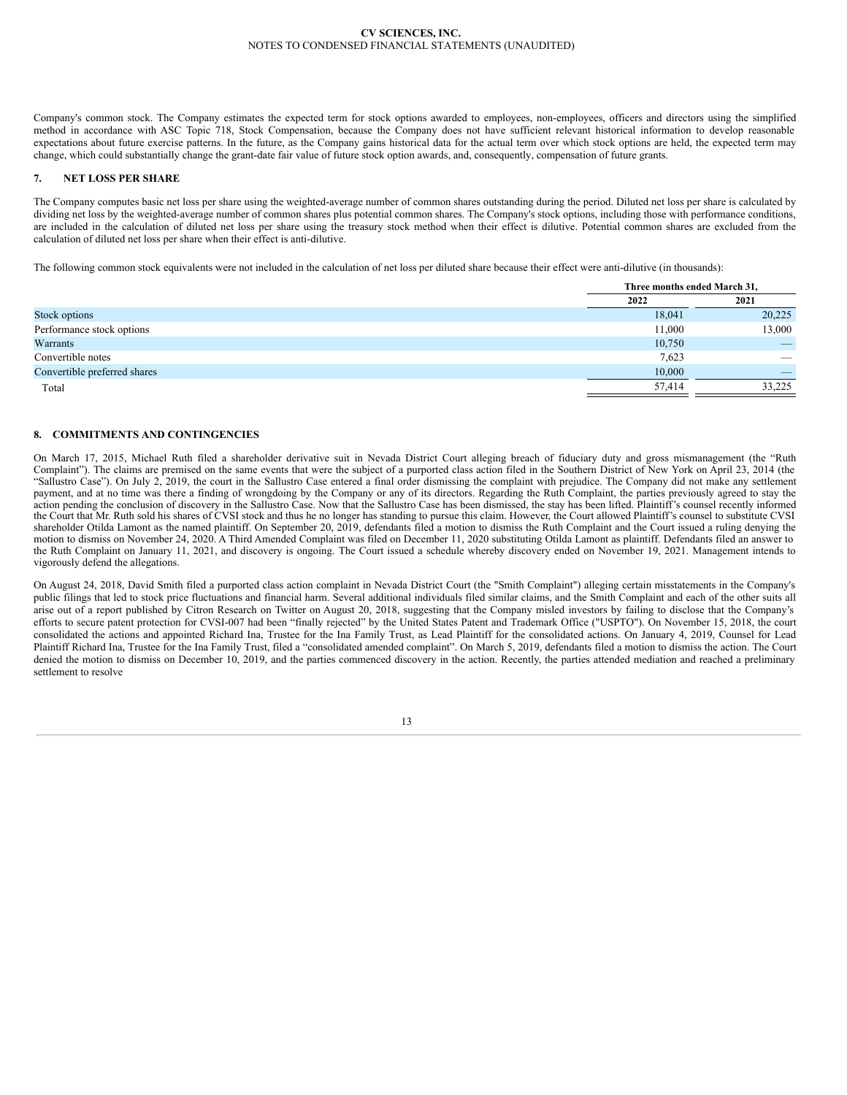Company's common stock. The Company estimates the expected term for stock options awarded to employees, non-employees, officers and directors using the simplified method in accordance with ASC Topic 718, Stock Compensation, because the Company does not have sufficient relevant historical information to develop reasonable expectations about future exercise patterns. In the future, as the Company gains historical data for the actual term over which stock options are held, the expected term may change, which could substantially change the grant-date fair value of future stock option awards, and, consequently, compensation of future grants.

# **7. NET LOSS PER SHARE**

The Company computes basic net loss per share using the weighted-average number of common shares outstanding during the period. Diluted net loss per share is calculated by dividing net loss by the weighted-average number of common shares plus potential common shares. The Company's stock options, including those with performance conditions, are included in the calculation of diluted net loss per share using the treasury stock method when their effect is dilutive. Potential common shares are excluded from the calculation of diluted net loss per share when their effect is anti-dilutive.

The following common stock equivalents were not included in the calculation of net loss per diluted share because their effect were anti-dilutive (in thousands):

|                              | Three months ended March 31, |                          |
|------------------------------|------------------------------|--------------------------|
|                              | 2022                         | 2021                     |
| Stock options                | 18,041                       | 20,225                   |
| Performance stock options    | 11,000                       | 13,000                   |
| Warrants                     | 10,750                       | $\overline{\phantom{a}}$ |
| Convertible notes            | 7,623                        | $\overline{\phantom{a}}$ |
| Convertible preferred shares | 10.000                       | $\overline{\phantom{a}}$ |
| Total                        | 57.414                       | 33,225                   |

# **8. COMMITMENTS AND CONTINGENCIES**

On March 17, 2015, Michael Ruth filed a shareholder derivative suit in Nevada District Court alleging breach of fiduciary duty and gross mismanagement (the "Ruth Complaint"). The claims are premised on the same events that were the subject of a purported class action filed in the Southern District of New York on April 23, 2014 (the "Sallustro Case"). On July 2, 2019, the court in the Sallustro Case entered a final order dismissing the complaint with prejudice. The Company did not make any settlement payment, and at no time was there a finding of wrongdoing by the Company or any of its directors. Regarding the Ruth Complaint, the parties previously agreed to stay the action pending the conclusion of discovery in the Sallustro Case. Now that the Sallustro Case has been dismissed, the stay has been lifted. Plaintiff's counsel recently informed the Court that Mr. Ruth sold his shares of CVSI stock and thus he no longer has standing to pursue this claim. However, the Court allowed Plaintiff's counsel to substitute CVSI shareholder Otilda Lamont as the named plaintiff. On September 20, 2019, defendants filed a motion to dismiss the Ruth Complaint and the Court issued a ruling denying the motion to dismiss on November 24, 2020. A Third Amended Complaint was filed on December 11, 2020 substituting Otilda Lamont as plaintiff. Defendants filed an answer to the Ruth Complaint on January 11, 2021, and discovery is ongoing. The Court issued a schedule whereby discovery ended on November 19, 2021. Management intends to vigorously defend the allegations.

On August 24, 2018, David Smith filed a purported class action complaint in Nevada District Court (the "Smith Complaint") alleging certain misstatements in the Company's public filings that led to stock price fluctuations and financial harm. Several additional individuals filed similar claims, and the Smith Complaint and each of the other suits all arise out of a report published by Citron Research on Twitter on August 20, 2018, suggesting that the Company misled investors by failing to disclose that the Company's efforts to secure patent protection for CVSI-007 had been "finally rejected" by the United States Patent and Trademark Office ("USPTO"). On November 15, 2018, the court consolidated the actions and appointed Richard Ina, Trustee for the Ina Family Trust, as Lead Plaintiff for the consolidated actions. On January 4, 2019, Counsel for Lead Plaintiff Richard Ina, Trustee for the Ina Family Trust, filed a "consolidated amended complaint". On March 5, 2019, defendants filed a motion to dismiss the action. The Court denied the motion to dismiss on December 10, 2019, and the parties commenced discovery in the action. Recently, the parties attended mediation and reached a preliminary settlement to resolve

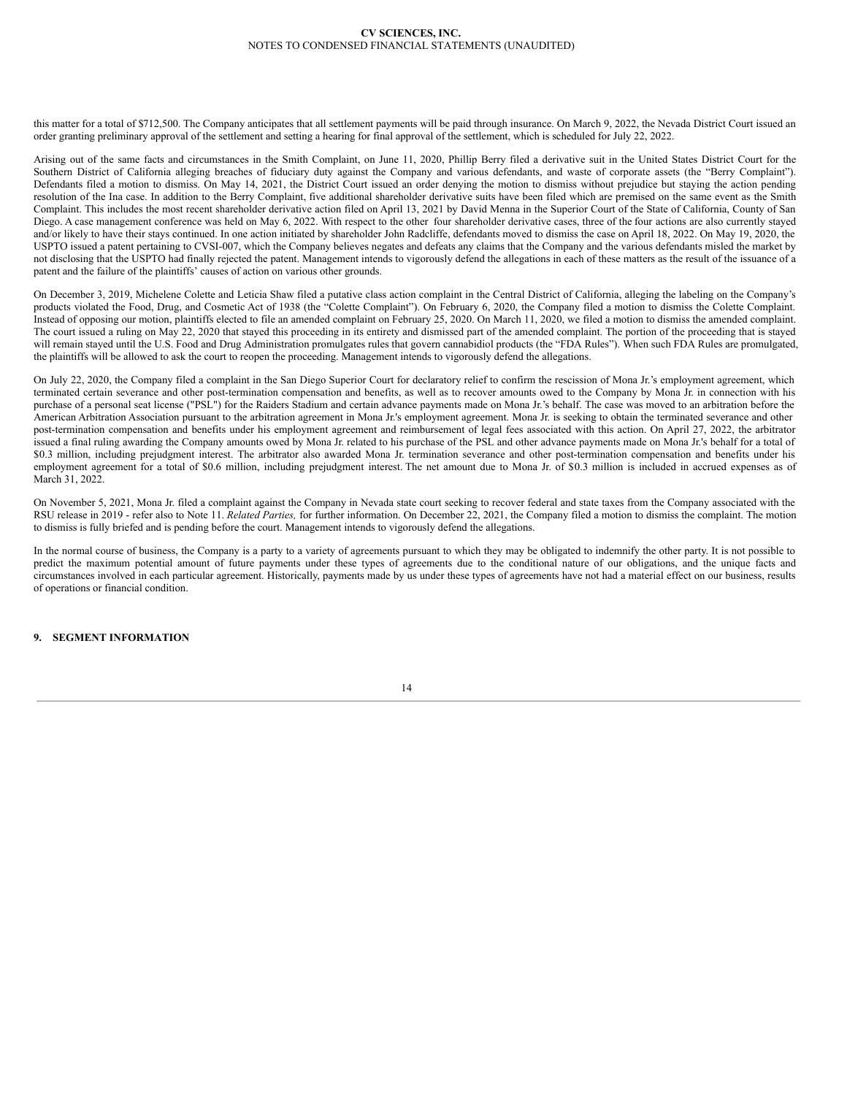this matter for a total of \$712,500. The Company anticipates that all settlement payments will be paid through insurance. On March 9, 2022, the Nevada District Court issued an order granting preliminary approval of the settlement and setting a hearing for final approval of the settlement, which is scheduled for July 22, 2022.

Arising out of the same facts and circumstances in the Smith Complaint, on June 11, 2020, Phillip Berry filed a derivative suit in the United States District Court for the Southern District of California alleging breaches of fiduciary duty against the Company and various defendants, and waste of corporate assets (the "Berry Complaint"). Defendants filed a motion to dismiss. On May 14, 2021, the District Court issued an order denying the motion to dismiss without prejudice but staying the action pending resolution of the Ina case. In addition to the Berry Complaint, five additional shareholder derivative suits have been filed which are premised on the same event as the Smith Complaint. This includes the most recent shareholder derivative action filed on April 13, 2021 by David Menna in the Superior Court of the State of California, County of San Diego. A case management conference was held on May 6, 2022. With respect to the other four shareholder derivative cases, three of the four actions are also currently stayed and/or likely to have their stays continued. In one action initiated by shareholder John Radcliffe, defendants moved to dismiss the case on April 18, 2022. On May 19, 2020, the USPTO issued a patent pertaining to CVSI-007, which the Company believes negates and defeats any claims that the Company and the various defendants misled the market by not disclosing that the USPTO had finally rejected the patent. Management intends to vigorously defend the allegations in each of these matters as the result of the issuance of a patent and the failure of the plaintiffs' causes of action on various other grounds.

On December 3, 2019, Michelene Colette and Leticia Shaw filed a putative class action complaint in the Central District of California, alleging the labeling on the Company's products violated the Food, Drug, and Cosmetic Act of 1938 (the "Colette Complaint"). On February 6, 2020, the Company filed a motion to dismiss the Colette Complaint. Instead of opposing our motion, plaintiffs elected to file an amended complaint on February 25, 2020. On March 11, 2020, we filed a motion to dismiss the amended complaint. The court issued a ruling on May 22, 2020 that stayed this proceeding in its entirety and dismissed part of the amended complaint. The portion of the proceeding that is stayed will remain stayed until the U.S. Food and Drug Administration promulgates rules that govern cannabidiol products (the "FDA Rules"). When such FDA Rules are promulgated, the plaintiffs will be allowed to ask the court to reopen the proceeding. Management intends to vigorously defend the allegations.

On July 22, 2020, the Company filed a complaint in the San Diego Superior Court for declaratory relief to confirm the rescission of Mona Jr.'s employment agreement, which terminated certain severance and other post-termination compensation and benefits, as well as to recover amounts owed to the Company by Mona Jr. in connection with his purchase of a personal seat license ("PSL") for the Raiders Stadium and certain advance payments made on Mona Jr.'s behalf. The case was moved to an arbitration before the American Arbitration Association pursuant to the arbitration agreement in Mona Jr.'s employment agreement. Mona Jr. is seeking to obtain the terminated severance and other post-termination compensation and benefits under his employment agreement and reimbursement of legal fees associated with this action. On April 27, 2022, the arbitrator issued a final ruling awarding the Company amounts owed by Mona Jr. related to his purchase of the PSL and other advance payments made on Mona Jr.'s behalf for a total of \$0.3 million, including prejudgment interest. The arbitrator also awarded Mona Jr. termination severance and other post-termination compensation and benefits under his employment agreement for a total of \$0.6 million, including prejudgment interest. The net amount due to Mona Jr. of \$0.3 million is included in accrued expenses as of March 31, 2022.

On November 5, 2021, Mona Jr. filed a complaint against the Company in Nevada state court seeking to recover federal and state taxes from the Company associated with the RSU release in 2019 - refer also to Note 11. *Related Parties,* for further information. On December 22, 2021, the Company filed a motion to dismiss the complaint. The motion to dismiss is fully briefed and is pending before the court. Management intends to vigorously defend the allegations.

In the normal course of business, the Company is a party to a variety of agreements pursuant to which they may be obligated to indemnify the other party. It is not possible to predict the maximum potential amount of future payments under these types of agreements due to the conditional nature of our obligations, and the unique facts and circumstances involved in each particular agreement. Historically, payments made by us under these types of agreements have not had a material effect on our business, results of operations or financial condition.

# **9. SEGMENT INFORMATION**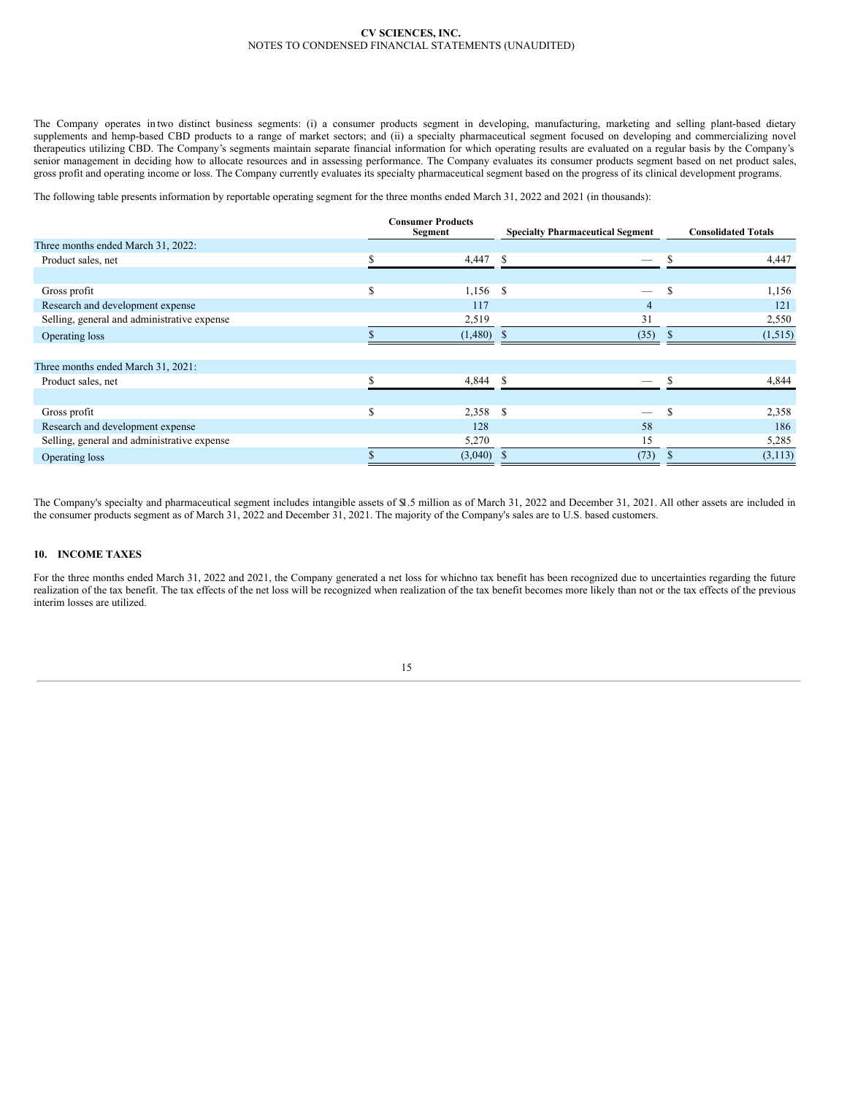The Company operates in two distinct business segments: (i) a consumer products segment in developing, manufacturing, marketing and selling plant-based dietary supplements and hemp-based CBD products to a range of market sectors; and (ii) a specialty pharmaceutical segment focused on developing and commercializing novel therapeutics utilizing CBD. The Company's segments maintain separate financial information for which operating results are evaluated on a regular basis by the Company's senior management in deciding how to allocate resources and in assessing performance. The Company evaluates its consumer products segment based on net product sales, gross profit and operating income or loss. The Company currently evaluates its specialty pharmaceutical segment based on the progress of its clinical development programs.

The following table presents information by reportable operating segment for the three months ended March 31, 2022 and 2021 (in thousands):

|                                             |   | <b>Consumer Products</b><br>Segment | <b>Specialty Pharmaceutical Segment</b> |               | <b>Consolidated Totals</b> |  |  |
|---------------------------------------------|---|-------------------------------------|-----------------------------------------|---------------|----------------------------|--|--|
| Three months ended March 31, 2022:          |   |                                     |                                         |               |                            |  |  |
| Product sales, net                          |   | $4,447$ \$                          |                                         | <sup>\$</sup> | 4,447                      |  |  |
|                                             |   |                                     |                                         |               |                            |  |  |
| Gross profit                                | S | 1,156 \$                            |                                         | <sup>\$</sup> | 1,156                      |  |  |
| Research and development expense            |   | 117                                 | 4                                       |               | 121                        |  |  |
| Selling, general and administrative expense |   | 2,519                               | 31                                      |               | 2,550                      |  |  |
| Operating loss                              |   | $(1,480)$ \$                        | (35)                                    |               | (1,515)                    |  |  |
|                                             |   |                                     |                                         |               |                            |  |  |
| Three months ended March 31, 2021:          |   |                                     |                                         |               |                            |  |  |
| Product sales, net                          | ጦ | $4,844$ \$                          |                                         | <b>Q</b>      | 4,844                      |  |  |
|                                             |   |                                     |                                         |               |                            |  |  |
| Gross profit                                | Ŝ | 2,358 \$                            |                                         | <b>S</b>      | 2,358                      |  |  |
| Research and development expense            |   | 128                                 | 58                                      |               | 186                        |  |  |
| Selling, general and administrative expense |   | 5,270                               | 15                                      |               | 5,285                      |  |  |
| Operating loss                              |   | $(3,040)$ \$                        | (73)                                    |               | (3, 113)                   |  |  |
|                                             |   |                                     |                                         |               |                            |  |  |

The Company's specialty and pharmaceutical segment includes intangible assets of \$1.5 million as of March 31, 2022 and December 31, 2021. All other assets are included in the consumer products segment as of March 31, 2022 and December 31, 2021. The majority of the Company's sales are to U.S. based customers.

## **10. INCOME TAXES**

For the three months ended March 31, 2022 and 2021, the Company generated a net loss for whichno tax benefit has been recognized due to uncertainties regarding the future realization of the tax benefit. The tax effects of the net loss will be recognized when realization of the tax benefit becomes more likely than not or the tax effects of the previous interim losses are utilized.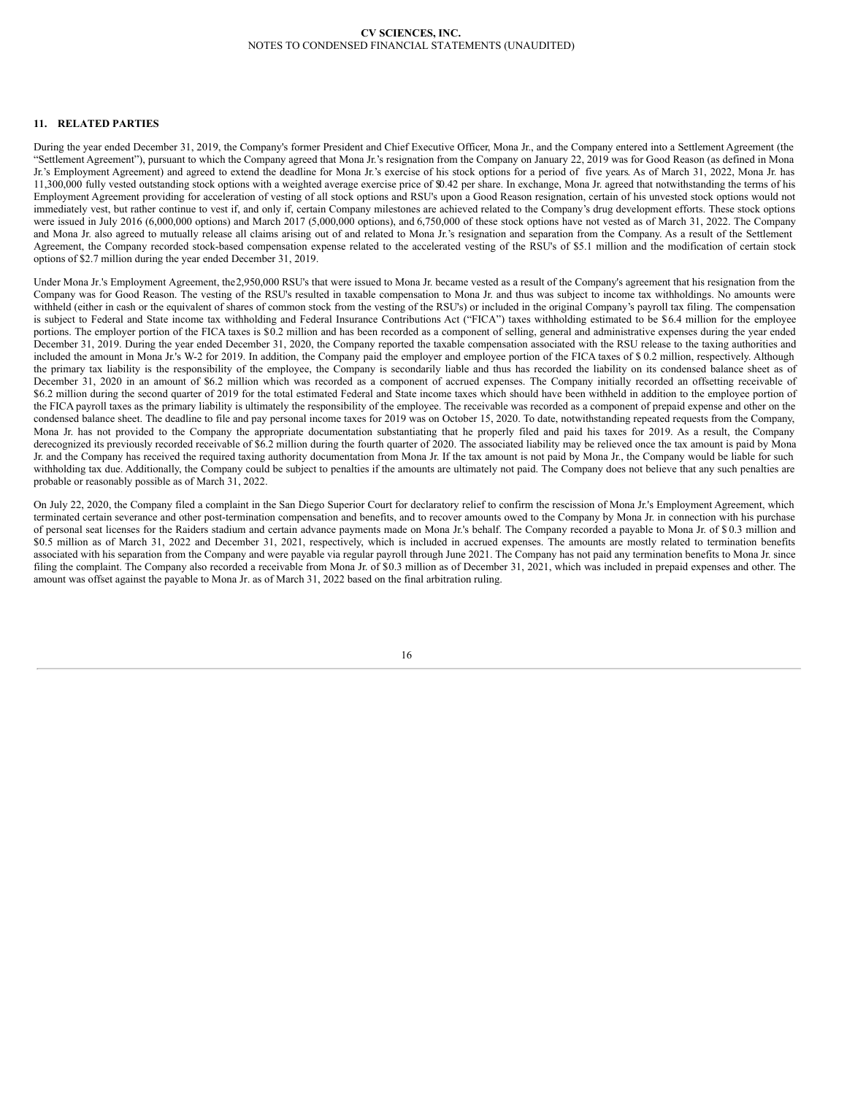### **11. RELATED PARTIES**

During the year ended December 31, 2019, the Company's former President and Chief Executive Officer, Mona Jr., and the Company entered into a Settlement Agreement (the "Settlement Agreement"), pursuant to which the Company agreed that Mona Jr.'s resignation from the Company on January 22, 2019 was for Good Reason (as defined in Mona Jr.'s Employment Agreement) and agreed to extend the deadline for Mona Jr.'s exercise of his stock options for a period of five years. As of March 31, 2022, Mona Jr. has 11,300,000 fully vested outstanding stock options with a weighted average exercise price of \$0.42 per share. In exchange, Mona Jr. agreed that notwithstanding the terms of his Employment Agreement providing for acceleration of vesting of all stock options and RSU's upon a Good Reason resignation, certain of his unvested stock options would not immediately vest, but rather continue to vest if, and only if, certain Company milestones are achieved related to the Company's drug development efforts. These stock options were issued in July 2016 (6,000,000 options) and March 2017 (5,000,000 options), and 6,750,000 of these stock options have not vested as of March 31, 2022. The Company and Mona Jr. also agreed to mutually release all claims arising out of and related to Mona Jr.'s resignation and separation from the Company. As a result of the Settlement Agreement, the Company recorded stock-based compensation expense related to the accelerated vesting of the RSU's of \$5.1 million and the modification of certain stock options of \$2.7 million during the year ended December 31, 2019.

Under Mona Jr.'s Employment Agreement, the2,950,000 RSU's that were issued to Mona Jr. became vested as a result of the Company's agreement that his resignation from the Company was for Good Reason. The vesting of the RSU's resulted in taxable compensation to Mona Jr. and thus was subject to income tax withholdings. No amounts were withheld (either in cash or the equivalent of shares of common stock from the vesting of the RSU's) or included in the original Company's payroll tax filing. The compensation is subject to Federal and State income tax withholding and Federal Insurance Contributions Act ("FICA") taxes withholding estimated to be \$6.4 million for the employee portions. The employer portion of the FICA taxes is \$0.2 million and has been recorded as a component of selling, general and administrative expenses during the year ended December 31, 2019. During the year ended December 31, 2020, the Company reported the taxable compensation associated with the RSU release to the taxing authorities and included the amount in Mona Jr.'s W-2 for 2019. In addition, the Company paid the employer and employee portion of the FICA taxes of \$ 0.2 million, respectively. Although the primary tax liability is the responsibility of the employee, the Company is secondarily liable and thus has recorded the liability on its condensed balance sheet as of December 31, 2020 in an amount of \$6.2 million which was recorded as a component of accrued expenses. The Company initially recorded an offsetting receivable of \$6.2 million during the second quarter of 2019 for the total estimated Federal and State income taxes which should have been withheld in addition to the employee portion of the FICA payroll taxes as the primary liability is ultimately the responsibility of the employee. The receivable was recorded as a component of prepaid expense and other on the condensed balance sheet. The deadline to file and pay personal income taxes for 2019 was on October 15, 2020. To date, notwithstanding repeated requests from the Company, Mona Jr. has not provided to the Company the appropriate documentation substantiating that he properly filed and paid his taxes for 2019. As a result, the Company derecognized its previously recorded receivable of \$6.2 million during the fourth quarter of 2020. The associated liability may be relieved once the tax amount is paid by Mona Jr. and the Company has received the required taxing authority documentation from Mona Jr. If the tax amount is not paid by Mona Jr., the Company would be liable for such withholding tax due. Additionally, the Company could be subject to penalties if the amounts are ultimately not paid. The Company does not believe that any such penalties are probable or reasonably possible as of March 31, 2022.

On July 22, 2020, the Company filed a complaint in the San Diego Superior Court for declaratory relief to confirm the rescission of Mona Jr.'s Employment Agreement, which terminated certain severance and other post-termination compensation and benefits, and to recover amounts owed to the Company by Mona Jr. in connection with his purchase of personal seat licenses for the Raiders stadium and certain advance payments made on Mona Jr.'s behalf. The Company recorded a payable to Mona Jr. of \$ 0.3 million and \$0.5 million as of March 31, 2022 and December 31, 2021, respectively, which is included in accrued expenses. The amounts are mostly related to termination benefits associated with his separation from the Company and were payable via regular payroll through June 2021. The Company has not paid any termination benefits to Mona Jr. since filing the complaint. The Company also recorded a receivable from Mona Jr. of \$0.3 million as of December 31, 2021, which was included in prepaid expenses and other. The amount was offset against the payable to Mona Jr. as of March 31, 2022 based on the final arbitration ruling.

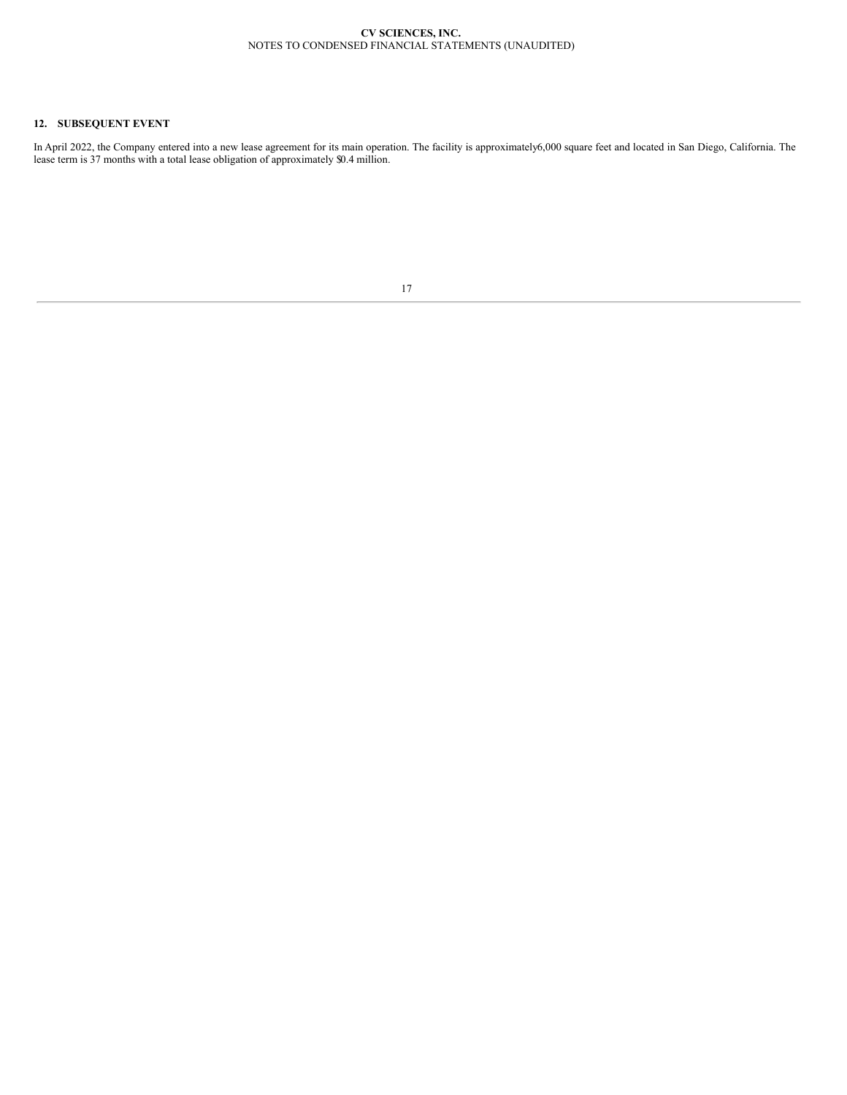# **12. SUBSEQUENT EVENT**

<span id="page-18-0"></span>In April 2022, the Company entered into a new lease agreement for its main operation. The facility is approximately6,000 square feet and located in San Diego, California. The lease term is 37 months with a total lease obligation of approximately \$0.4 million.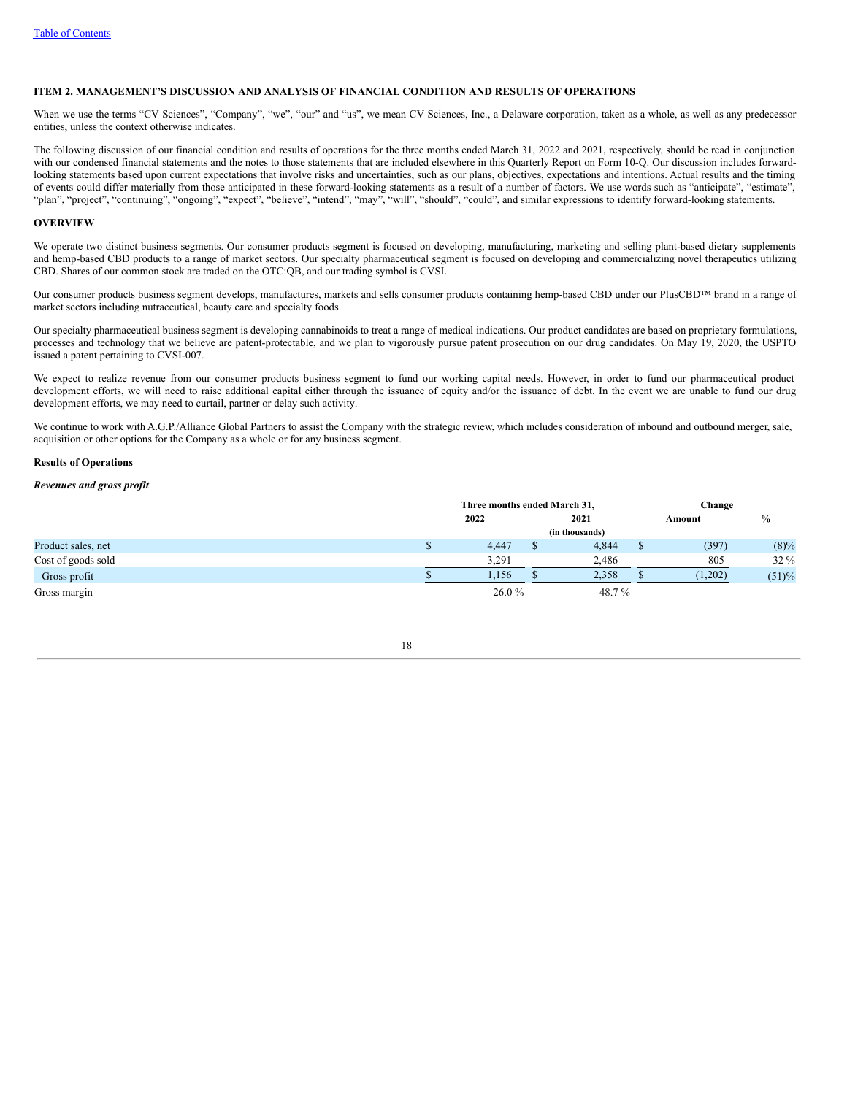## **ITEM 2. MANAGEMENT'S DISCUSSION AND ANALYSIS OF FINANCIAL CONDITION AND RESULTS OF OPERATIONS**

When we use the terms "CV Sciences", "Company", "we", "our" and "us", we mean CV Sciences, Inc., a Delaware corporation, taken as a whole, as well as any predecessor entities, unless the context otherwise indicates.

The following discussion of our financial condition and results of operations for the three months ended March 31, 2022 and 2021, respectively, should be read in conjunction with our condensed financial statements and the notes to those statements that are included elsewhere in this Quarterly Report on Form 10-Q. Our discussion includes forwardlooking statements based upon current expectations that involve risks and uncertainties, such as our plans, objectives, expectations and intentions. Actual results and the timing of events could differ materially from those anticipated in these forward-looking statements as a result of a number of factors. We use words such as "anticipate", "estimate", "plan", "project", "continuing", "ongoing", "expect", "believe", "intend", "may", "will", "should", "could", and similar expressions to identify forward-looking statements.

### **OVERVIEW**

We operate two distinct business segments. Our consumer products segment is focused on developing, manufacturing, marketing and selling plant-based dietary supplements and hemp-based CBD products to a range of market sectors. Our specialty pharmaceutical segment is focused on developing and commercializing novel therapeutics utilizing CBD. Shares of our common stock are traded on the OTC:QB, and our trading symbol is CVSI.

Our consumer products business segment develops, manufactures, markets and sells consumer products containing hemp-based CBD under our PlusCBD™ brand in a range of market sectors including nutraceutical, beauty care and specialty foods.

Our specialty pharmaceutical business segment is developing cannabinoids to treat a range of medical indications. Our product candidates are based on proprietary formulations, processes and technology that we believe are patent-protectable, and we plan to vigorously pursue patent prosecution on our drug candidates. On May 19, 2020, the USPTO issued a patent pertaining to CVSI-007.

We expect to realize revenue from our consumer products business segment to fund our working capital needs. However, in order to fund our pharmaceutical product development efforts, we will need to raise additional capital either through the issuance of equity and/or the issuance of debt. In the event we are unable to fund our drug development efforts, we may need to curtail, partner or delay such activity.

We continue to work with A.G.P./Alliance Global Partners to assist the Company with the strategic review, which includes consideration of inbound and outbound merger, sale, acquisition or other options for the Company as a whole or for any business segment.

#### **Results of Operations**

### *Revenues and gross profit*

|                    | Three months ended March 31. |  |       |  | Change  |         |  |  |
|--------------------|------------------------------|--|-------|--|---------|---------|--|--|
|                    | 2022                         |  | 2021  |  | Amount  | $\%$    |  |  |
|                    | (in thousands)               |  |       |  |         |         |  |  |
| Product sales, net | 4,447                        |  | 4,844 |  | (397)   | $(8)\%$ |  |  |
| Cost of goods sold | 3,291                        |  | 2,486 |  | 805     | $32\%$  |  |  |
| Gross profit       | 1,156                        |  | 2,358 |  | (1,202) | (51)%   |  |  |
| Gross margin       | 26.0%                        |  | 48.7% |  |         |         |  |  |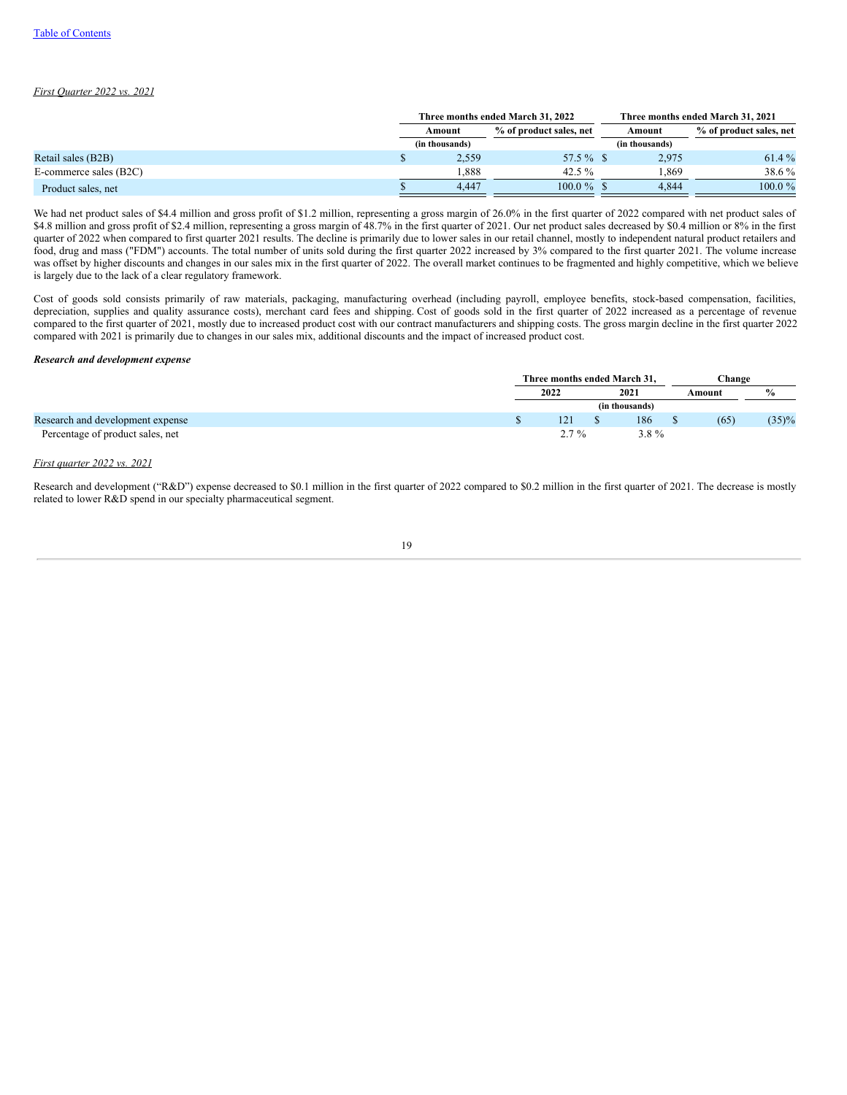# *First Quarter 2022 vs. 2021*

|                        |                                   | Three months ended March 31, 2022 |                | Three months ended March 31, 2021 |
|------------------------|-----------------------------------|-----------------------------------|----------------|-----------------------------------|
|                        | % of product sales, net<br>Amount |                                   | Amount         | % of product sales, net           |
|                        | (in thousands)                    |                                   | (in thousands) |                                   |
| Retail sales (B2B)     | 2.559                             | 57.5 $\%$ \$                      | 2.975          | 61.4 %                            |
| E-commerce sales (B2C) | . 888                             | 42.5 $%$                          | .869           | 38.6 %                            |
| Product sales, net     | 4.447                             | $100.0\%$ \$                      | 4.844          | $100.0 \%$                        |

We had net product sales of \$4.4 million and gross profit of \$1.2 million, representing a gross margin of 26.0% in the first quarter of 2022 compared with net product sales of \$4.8 million and gross profit of \$2.4 million, representing a gross margin of 48.7% in the first quarter of 2021. Our net product sales decreased by \$0.4 million or 8% in the first quarter of 2022 when compared to first quarter 2021 results. The decline is primarily due to lower sales in our retail channel, mostly to independent natural product retailers and food, drug and mass ("FDM") accounts. The total number of units sold during the first quarter 2022 increased by 3% compared to the first quarter 2021. The volume increase was offset by higher discounts and changes in our sales mix in the first quarter of 2022. The overall market continues to be fragmented and highly competitive, which we believe is largely due to the lack of a clear regulatory framework.

Cost of goods sold consists primarily of raw materials, packaging, manufacturing overhead (including payroll, employee benefits, stock-based compensation, facilities, depreciation, supplies and quality assurance costs), merchant card fees and shipping. Cost of goods sold in the first quarter of 2022 increased as a percentage of revenue compared to the first quarter of 2021, mostly due to increased product cost with our contract manufacturers and shipping costs. The gross margin decline in the first quarter 2022 compared with 2021 is primarily due to changes in our sales mix, additional discounts and the impact of increased product cost.

#### *Research and development expense*

|                                  | Three months ended March 31. |      |         |        | Change |               |  |  |
|----------------------------------|------------------------------|------|---------|--------|--------|---------------|--|--|
|                                  | 2022                         | 2021 |         | Amount |        | $\frac{6}{9}$ |  |  |
|                                  | (in thousands)               |      |         |        |        |               |  |  |
| Research and development expense | 121                          |      | 186     |        | (65)   | $(35)\%$      |  |  |
| Percentage of product sales, net | $2.7\%$                      |      | $3.8\%$ |        |        |               |  |  |

# *First quarter 2022 vs. 2021*

Research and development ("R&D") expense decreased to \$0.1 million in the first quarter of 2022 compared to \$0.2 million in the first quarter of 2021. The decrease is mostly related to lower R&D spend in our specialty pharmaceutical segment.

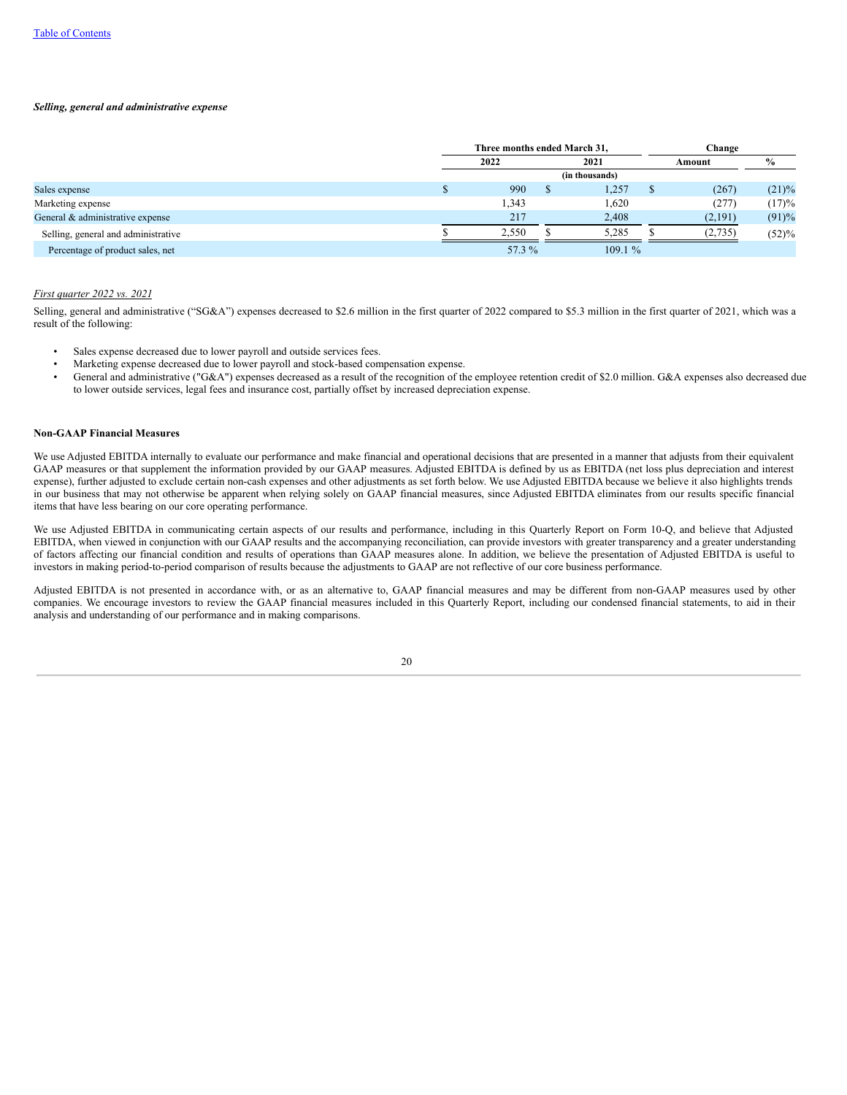### *Selling, general and administrative expense*

|                                     | Three months ended March 31. |   |                |  | Change  |          |
|-------------------------------------|------------------------------|---|----------------|--|---------|----------|
|                                     | 2022                         |   | 2021           |  | Amount  | $\%$     |
|                                     |                              |   | (in thousands) |  |         |          |
| Sales expense                       | 990                          | S | 1,257          |  | (267)   | $(21)\%$ |
| Marketing expense                   | 1,343                        |   | 1,620          |  | (277)   | (17)%    |
| General & administrative expense    | 217                          |   | 2,408          |  | (2,191) | (91)%    |
| Selling, general and administrative | 2,550                        |   | 5,285          |  | (2,735) | (52)%    |
| Percentage of product sales, net    | 57.3 %                       |   | 109.1%         |  |         |          |

## *First quarter 2022 vs. 2021*

Selling, general and administrative ("SG&A") expenses decreased to \$2.6 million in the first quarter of 2022 compared to \$5.3 million in the first quarter of 2021, which was a result of the following:

- Sales expense decreased due to lower payroll and outside services fees.
- Marketing expense decreased due to lower payroll and stock-based compensation expense.
- General and administrative ("G&A") expenses decreased as a result of the recognition of the employee retention credit of \$2.0 million. G&A expenses also decreased due to lower outside services, legal fees and insurance cost, partially offset by increased depreciation expense.

# **Non-GAAP Financial Measures**

We use Adjusted EBITDA internally to evaluate our performance and make financial and operational decisions that are presented in a manner that adjusts from their equivalent GAAP measures or that supplement the information provided by our GAAP measures. Adjusted EBITDA is defined by us as EBITDA (net loss plus depreciation and interest expense), further adjusted to exclude certain non-cash expenses and other adjustments as set forth below. We use Adjusted EBITDA because we believe it also highlights trends in our business that may not otherwise be apparent when relying solely on GAAP financial measures, since Adjusted EBITDA eliminates from our results specific financial items that have less bearing on our core operating performance.

We use Adjusted EBITDA in communicating certain aspects of our results and performance, including in this Quarterly Report on Form 10-Q, and believe that Adjusted EBITDA, when viewed in conjunction with our GAAP results and the accompanying reconciliation, can provide investors with greater transparency and a greater understanding of factors affecting our financial condition and results of operations than GAAP measures alone. In addition, we believe the presentation of Adjusted EBITDA is useful to investors in making period-to-period comparison of results because the adjustments to GAAP are not reflective of our core business performance.

Adjusted EBITDA is not presented in accordance with, or as an alternative to, GAAP financial measures and may be different from non-GAAP measures used by other companies. We encourage investors to review the GAAP financial measures included in this Quarterly Report, including our condensed financial statements, to aid in their analysis and understanding of our performance and in making comparisons.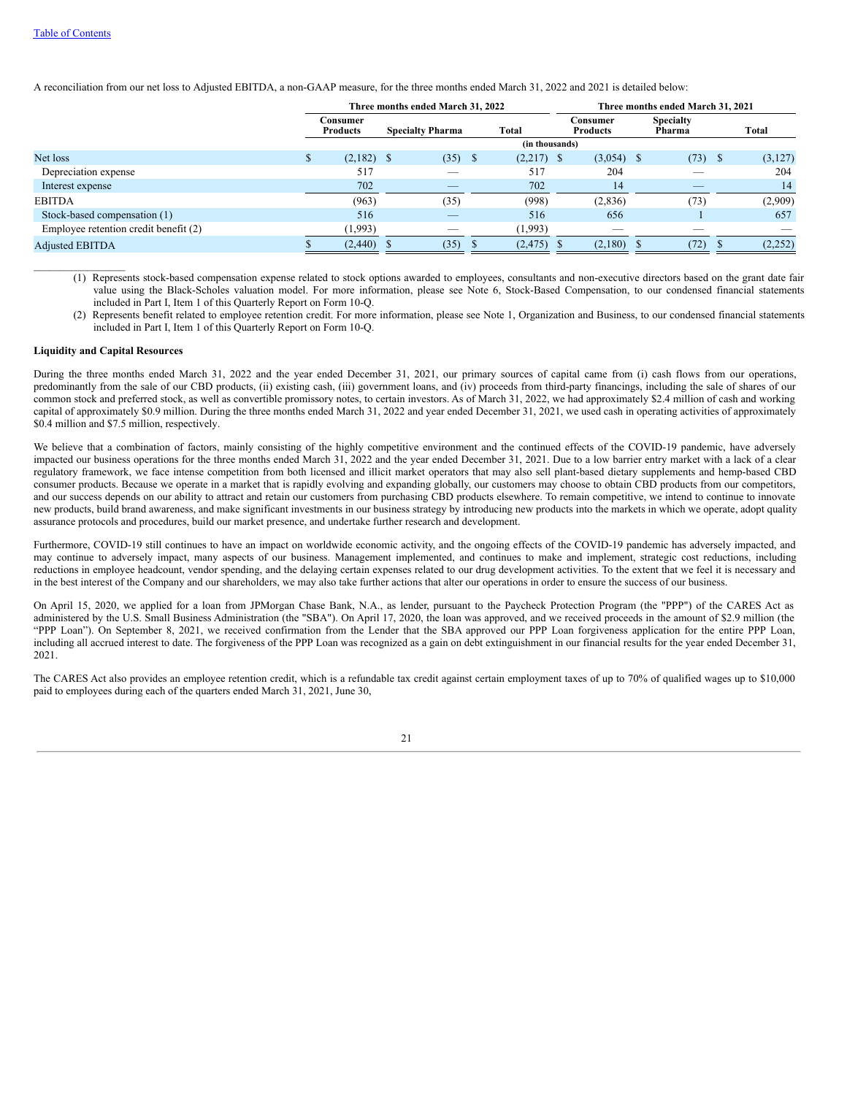A reconciliation from our net loss to Adjusted EBITDA, a non-GAAP measure, for the three months ended March 31, 2022 and 2021 is detailed below:

|                                       | Three months ended March 31, 2022 |                          |      |                | Three months ended March 31, 2021 |  |                            |  |          |  |
|---------------------------------------|-----------------------------------|--------------------------|------|----------------|-----------------------------------|--|----------------------------|--|----------|--|
|                                       | Consumer<br><b>Products</b>       | <b>Specialty Pharma</b>  |      | Total          | Consumer<br><b>Products</b>       |  | <b>Specialty</b><br>Pharma |  | Total    |  |
|                                       |                                   |                          |      | (in thousands) |                                   |  |                            |  |          |  |
| Net loss                              | $(2,182)$ \$                      | (35)                     | - \$ | $(2,217)$ \$   | $(3,054)$ \$                      |  | $(73)$ \$                  |  | (3,127)  |  |
| Depreciation expense                  | 517                               | $\overline{\phantom{a}}$ |      | 517            | 204                               |  |                            |  | 204      |  |
| Interest expense                      | 702                               | $-$                      |      | 702            | 14                                |  | $\overline{\phantom{a}}$   |  | 14       |  |
| <b>EBITDA</b>                         | (963)                             | (35)                     |      | (998)          | (2,836)                           |  | (73)                       |  | (2,909)  |  |
| Stock-based compensation (1)          | 516                               | __                       |      | 516            | 656                               |  |                            |  | 657      |  |
| Employee retention credit benefit (2) | (1,993)                           | _                        |      | (1,993)        | $\overline{\phantom{a}}$          |  |                            |  |          |  |
| <b>Adjusted EBITDA</b>                | (2,440)                           | (35)                     |      | (2, 475)       | (2,180)                           |  | (72)                       |  | (2, 252) |  |

(1) Represents stock-based compensation expense related to stock options awarded to employees, consultants and non-executive directors based on the grant date fair value using the Black-Scholes valuation model. For more information, please see Note 6, Stock-Based Compensation, to our condensed financial statements included in Part I, Item 1 of this Quarterly Report on Form 10-Q.

(2) Represents benefit related to employee retention credit. For more information, please see Note 1, Organization and Business, to our condensed financial statements included in Part I, Item 1 of this Quarterly Report on Form 10-Q.

# **Liquidity and Capital Resources**

 $\mathcal{L}=\mathcal{L}^{\mathcal{L}}$  , where  $\mathcal{L}^{\mathcal{L}}$ 

During the three months ended March 31, 2022 and the year ended December 31, 2021, our primary sources of capital came from (i) cash flows from our operations, predominantly from the sale of our CBD products, (ii) existing cash, (iii) government loans, and (iv) proceeds from third-party financings, including the sale of shares of our common stock and preferred stock, as well as convertible promissory notes, to certain investors. As of March 31, 2022, we had approximately \$2.4 million of cash and working capital of approximately \$0.9 million. During the three months ended March 31, 2022 and year ended December 31, 2021, we used cash in operating activities of approximately \$0.4 million and \$7.5 million, respectively.

We believe that a combination of factors, mainly consisting of the highly competitive environment and the continued effects of the COVID-19 pandemic, have adversely impacted our business operations for the three months ended March 31, 2022 and the year ended December 31, 2021. Due to a low barrier entry market with a lack of a clear regulatory framework, we face intense competition from both licensed and illicit market operators that may also sell plant-based dietary supplements and hemp-based CBD consumer products. Because we operate in a market that is rapidly evolving and expanding globally, our customers may choose to obtain CBD products from our competitors, and our success depends on our ability to attract and retain our customers from purchasing CBD products elsewhere. To remain competitive, we intend to continue to innovate new products, build brand awareness, and make significant investments in our business strategy by introducing new products into the markets in which we operate, adopt quality assurance protocols and procedures, build our market presence, and undertake further research and development.

Furthermore, COVID-19 still continues to have an impact on worldwide economic activity, and the ongoing effects of the COVID-19 pandemic has adversely impacted, and may continue to adversely impact, many aspects of our business. Management implemented, and continues to make and implement, strategic cost reductions, including reductions in employee headcount, vendor spending, and the delaying certain expenses related to our drug development activities. To the extent that we feel it is necessary and in the best interest of the Company and our shareholders, we may also take further actions that alter our operations in order to ensure the success of our business.

On April 15, 2020, we applied for a loan from JPMorgan Chase Bank, N.A., as lender, pursuant to the Paycheck Protection Program (the "PPP") of the CARES Act as administered by the U.S. Small Business Administration (the "SBA"). On April 17, 2020, the loan was approved, and we received proceeds in the amount of \$2.9 million (the "PPP Loan"). On September 8, 2021, we received confirmation from the Lender that the SBA approved our PPP Loan forgiveness application for the entire PPP Loan, including all accrued interest to date. The forgiveness of the PPP Loan was recognized as a gain on debt extinguishment in our financial results for the year ended December 31, 2021.

The CARES Act also provides an employee retention credit, which is a refundable tax credit against certain employment taxes of up to 70% of qualified wages up to \$10,000 paid to employees during each of the quarters ended March 31, 2021, June 30,

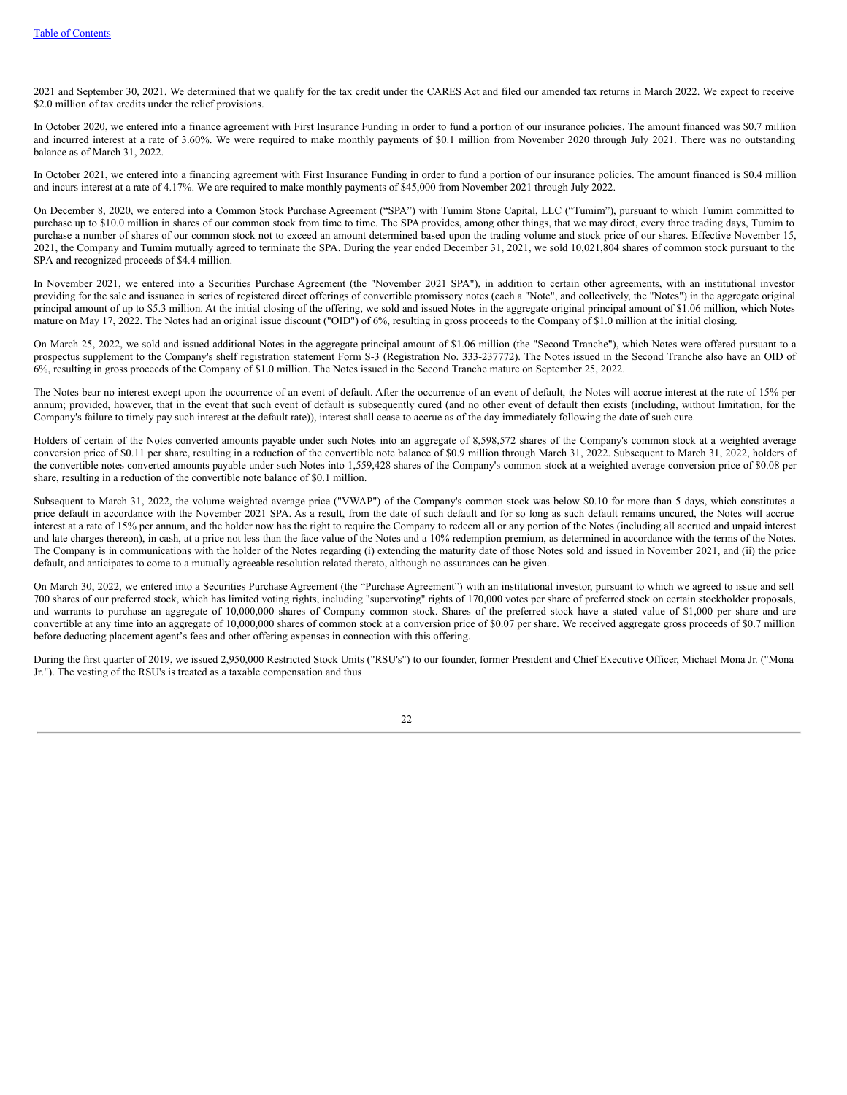2021 and September 30, 2021. We determined that we qualify for the tax credit under the CARES Act and filed our amended tax returns in March 2022. We expect to receive \$2.0 million of tax credits under the relief provisions.

In October 2020, we entered into a finance agreement with First Insurance Funding in order to fund a portion of our insurance policies. The amount financed was \$0.7 million and incurred interest at a rate of 3.60%. We were required to make monthly payments of \$0.1 million from November 2020 through July 2021. There was no outstanding balance as of March 31, 2022.

In October 2021, we entered into a financing agreement with First Insurance Funding in order to fund a portion of our insurance policies. The amount financed is \$0.4 million and incurs interest at a rate of 4.17%. We are required to make monthly payments of \$45,000 from November 2021 through July 2022.

On December 8, 2020, we entered into a Common Stock Purchase Agreement ("SPA") with Tumim Stone Capital, LLC ("Tumim"), pursuant to which Tumim committed to purchase up to \$10.0 million in shares of our common stock from time to time. The SPA provides, among other things, that we may direct, every three trading days, Tumim to purchase a number of shares of our common stock not to exceed an amount determined based upon the trading volume and stock price of our shares. Effective November 15, 2021, the Company and Tumim mutually agreed to terminate the SPA. During the year ended December 31, 2021, we sold 10,021,804 shares of common stock pursuant to the SPA and recognized proceeds of \$4.4 million.

In November 2021, we entered into a Securities Purchase Agreement (the "November 2021 SPA"), in addition to certain other agreements, with an institutional investor providing for the sale and issuance in series of registered direct offerings of convertible promissory notes (each a "Note", and collectively, the "Notes") in the aggregate original principal amount of up to \$5.3 million. At the initial closing of the offering, we sold and issued Notes in the aggregate original principal amount of \$1.06 million, which Notes mature on May 17, 2022. The Notes had an original issue discount ("OID") of 6%, resulting in gross proceeds to the Company of \$1.0 million at the initial closing.

On March 25, 2022, we sold and issued additional Notes in the aggregate principal amount of \$1.06 million (the "Second Tranche"), which Notes were offered pursuant to a prospectus supplement to the Company's shelf registration statement Form S-3 (Registration No. 333-237772). The Notes issued in the Second Tranche also have an OID of 6%, resulting in gross proceeds of the Company of \$1.0 million. The Notes issued in the Second Tranche mature on September 25, 2022.

The Notes bear no interest except upon the occurrence of an event of default. After the occurrence of an event of default, the Notes will accrue interest at the rate of 15% per annum; provided, however, that in the event that such event of default is subsequently cured (and no other event of default then exists (including, without limitation, for the Company's failure to timely pay such interest at the default rate)), interest shall cease to accrue as of the day immediately following the date of such cure.

Holders of certain of the Notes converted amounts payable under such Notes into an aggregate of 8,598,572 shares of the Company's common stock at a weighted average conversion price of \$0.11 per share, resulting in a reduction of the convertible note balance of \$0.9 million through March 31, 2022. Subsequent to March 31, 2022, holders of the convertible notes converted amounts payable under such Notes into 1,559,428 shares of the Company's common stock at a weighted average conversion price of \$0.08 per share, resulting in a reduction of the convertible note balance of \$0.1 million.

Subsequent to March 31, 2022, the volume weighted average price ("VWAP") of the Company's common stock was below \$0.10 for more than 5 days, which constitutes a price default in accordance with the November 2021 SPA. As a result, from the date of such default and for so long as such default remains uncured, the Notes will accrue interest at a rate of 15% per annum, and the holder now has the right to require the Company to redeem all or any portion of the Notes (including all accrued and unpaid interest and late charges thereon), in cash, at a price not less than the face value of the Notes and a 10% redemption premium, as determined in accordance with the terms of the Notes. The Company is in communications with the holder of the Notes regarding (i) extending the maturity date of those Notes sold and issued in November 2021, and (ii) the price default, and anticipates to come to a mutually agreeable resolution related thereto, although no assurances can be given.

On March 30, 2022, we entered into a Securities Purchase Agreement (the "Purchase Agreement") with an institutional investor, pursuant to which we agreed to issue and sell 700 shares of our preferred stock, which has limited voting rights, including "supervoting" rights of 170,000 votes per share of preferred stock on certain stockholder proposals, and warrants to purchase an aggregate of 10,000,000 shares of Company common stock. Shares of the preferred stock have a stated value of \$1,000 per share and are convertible at any time into an aggregate of 10,000,000 shares of common stock at a conversion price of \$0.07 per share. We received aggregate gross proceeds of \$0.7 million before deducting placement agent's fees and other offering expenses in connection with this offering.

During the first quarter of 2019, we issued 2,950,000 Restricted Stock Units ("RSU's") to our founder, former President and Chief Executive Officer, Michael Mona Jr. ("Mona Jr."). The vesting of the RSU's is treated as a taxable compensation and thus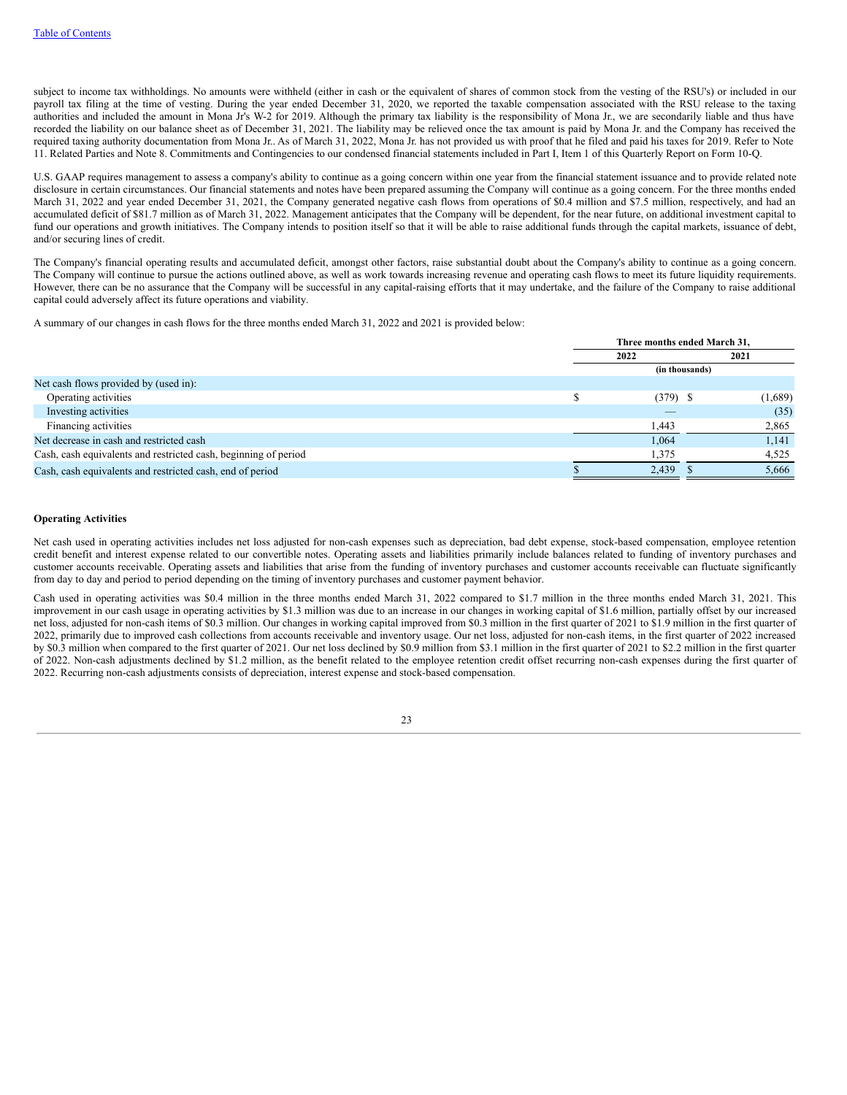subject to income tax withholdings. No amounts were withheld (either in cash or the equivalent of shares of common stock from the vesting of the RSU's) or included in our payroll tax filing at the time of vesting. During the year ended December 31, 2020, we reported the taxable compensation associated with the RSU release to the taxing authorities and included the amount in Mona Jr's W-2 for 2019. Although the primary tax liability is the responsibility of Mona Jr., we are secondarily liable and thus have recorded the liability on our balance sheet as of December 31, 2021. The liability may be relieved once the tax amount is paid by Mona Jr. and the Company has received the required taxing authority documentation from Mona Jr.. As of March 31, 2022, Mona Jr. has not provided us with proof that he filed and paid his taxes for 2019. Refer to Note 11. Related Parties and Note 8. Commitments and Contingencies to our condensed financial statements included in Part I, Item 1 of this Quarterly Report on Form 10-Q.

U.S. GAAP requires management to assess a company's ability to continue as a going concern within one year from the financial statement issuance and to provide related note disclosure in certain circumstances. Our financial statements and notes have been prepared assuming the Company will continue as a going concern. For the three months ended March 31, 2022 and year ended December 31, 2021, the Company generated negative cash flows from operations of \$0.4 million and \$7.5 million, respectively, and had an accumulated deficit of \$81.7 million as of March 31, 2022. Management anticipates that the Company will be dependent, for the near future, on additional investment capital to fund our operations and growth initiatives. The Company intends to position itself so that it will be able to raise additional funds through the capital markets, issuance of debt, and/or securing lines of credit.

The Company's financial operating results and accumulated deficit, amongst other factors, raise substantial doubt about the Company's ability to continue as a going concern. The Company will continue to pursue the actions outlined above, as well as work towards increasing revenue and operating cash flows to meet its future liquidity requirements. However, there can be no assurance that the Company will be successful in any capital-raising efforts that it may undertake, and the failure of the Company to raise additional capital could adversely affect its future operations and viability.

A summary of our changes in cash flows for the three months ended March 31, 2022 and 2021 is provided below:

|                                                                 | Three months ended March 31, |                |         |  |  |
|-----------------------------------------------------------------|------------------------------|----------------|---------|--|--|
|                                                                 | 2022                         |                | 2021    |  |  |
|                                                                 |                              | (in thousands) |         |  |  |
| Net cash flows provided by (used in):                           |                              |                |         |  |  |
| Operating activities                                            |                              | $(379)$ \$     | (1,689) |  |  |
| Investing activities                                            |                              |                | (35)    |  |  |
| Financing activities                                            |                              | 1,443          | 2,865   |  |  |
| Net decrease in cash and restricted cash                        |                              | 1,064          | 1,141   |  |  |
| Cash, cash equivalents and restricted cash, beginning of period |                              | 1,375          | 4,525   |  |  |
| Cash, cash equivalents and restricted cash, end of period       |                              | 2,439          | 5,666   |  |  |

## **Operating Activities**

Net cash used in operating activities includes net loss adjusted for non-cash expenses such as depreciation, bad debt expense, stock-based compensation, employee retention credit benefit and interest expense related to our convertible notes. Operating assets and liabilities primarily include balances related to funding of inventory purchases and customer accounts receivable. Operating assets and liabilities that arise from the funding of inventory purchases and customer accounts receivable can fluctuate significantly from day to day and period to period depending on the timing of inventory purchases and customer payment behavior.

Cash used in operating activities was \$0.4 million in the three months ended March 31, 2022 compared to \$1.7 million in the three months ended March 31, 2021. This improvement in our cash usage in operating activities by \$1.3 million was due to an increase in our changes in working capital of \$1.6 million, partially offset by our increased net loss, adjusted for non-cash items of \$0.3 million. Our changes in working capital improved from \$0.3 million in the first quarter of 2021 to \$1.9 million in the first quarter of 2022, primarily due to improved cash collections from accounts receivable and inventory usage. Our net loss, adjusted for non-cash items, in the first quarter of 2022 increased by \$0.3 million when compared to the first quarter of 2021. Our net loss declined by \$0.9 million from \$3.1 million in the first quarter of 2021 to \$2.2 million in the first quarter of 2022. Non-cash adjustments declined by \$1.2 million, as the benefit related to the employee retention credit offset recurring non-cash expenses during the first quarter of 2022. Recurring non-cash adjustments consists of depreciation, interest expense and stock-based compensation.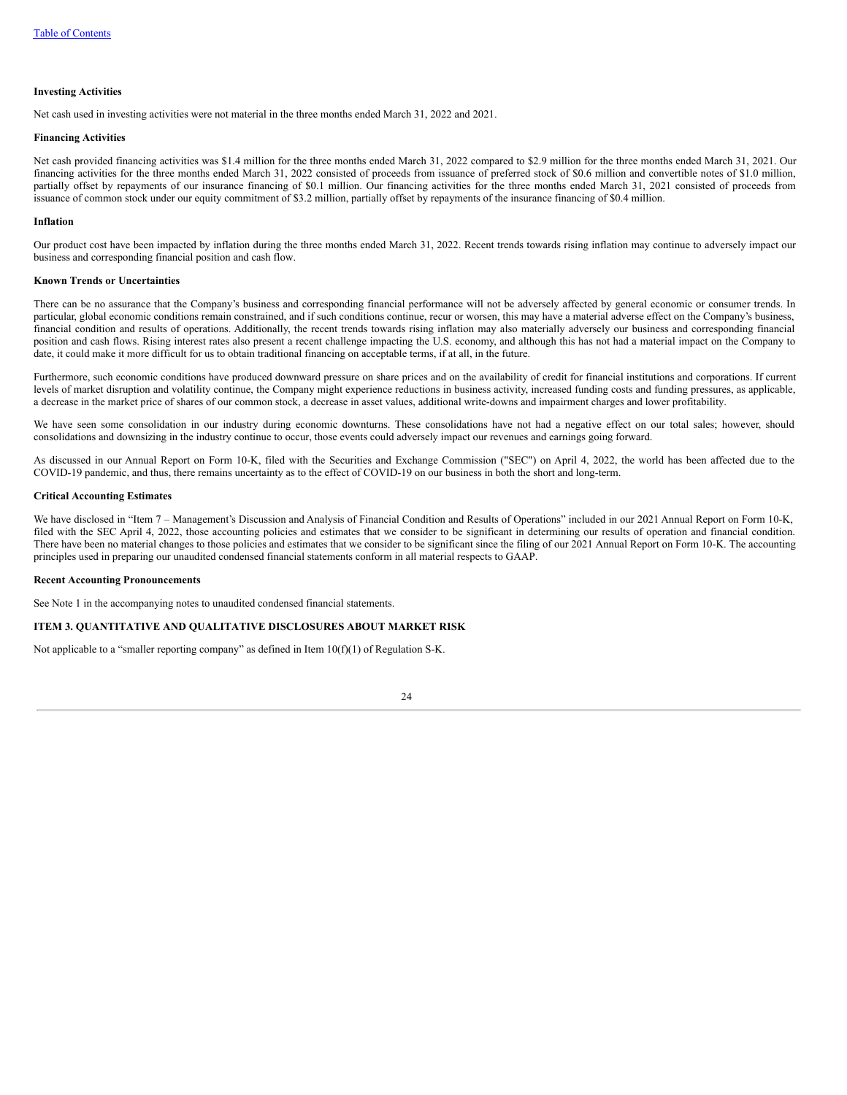### **Investing Activities**

Net cash used in investing activities were not material in the three months ended March 31, 2022 and 2021.

#### **Financing Activities**

Net cash provided financing activities was \$1.4 million for the three months ended March 31, 2022 compared to \$2.9 million for the three months ended March 31, 2021. Our financing activities for the three months ended March 31, 2022 consisted of proceeds from issuance of preferred stock of \$0.6 million and convertible notes of \$1.0 million, partially offset by repayments of our insurance financing of \$0.1 million. Our financing activities for the three months ended March 31, 2021 consisted of proceeds from issuance of common stock under our equity commitment of \$3.2 million, partially offset by repayments of the insurance financing of \$0.4 million.

#### **Inflation**

Our product cost have been impacted by inflation during the three months ended March 31, 2022. Recent trends towards rising inflation may continue to adversely impact our business and corresponding financial position and cash flow.

### **Known Trends or Uncertainties**

There can be no assurance that the Company's business and corresponding financial performance will not be adversely affected by general economic or consumer trends. In particular, global economic conditions remain constrained, and if such conditions continue, recur or worsen, this may have a material adverse effect on the Company's business, financial condition and results of operations. Additionally, the recent trends towards rising inflation may also materially adversely our business and corresponding financial position and cash flows. Rising interest rates also present a recent challenge impacting the U.S. economy, and although this has not had a material impact on the Company to date, it could make it more difficult for us to obtain traditional financing on acceptable terms, if at all, in the future.

Furthermore, such economic conditions have produced downward pressure on share prices and on the availability of credit for financial institutions and corporations. If current levels of market disruption and volatility continue, the Company might experience reductions in business activity, increased funding costs and funding pressures, as applicable, a decrease in the market price of shares of our common stock, a decrease in asset values, additional write-downs and impairment charges and lower profitability.

We have seen some consolidation in our industry during economic downturns. These consolidations have not had a negative effect on our total sales; however, should consolidations and downsizing in the industry continue to occur, those events could adversely impact our revenues and earnings going forward.

As discussed in our Annual Report on Form 10-K, filed with the Securities and Exchange Commission ("SEC") on April 4, 2022, the world has been affected due to the COVID-19 pandemic, and thus, there remains uncertainty as to the effect of COVID-19 on our business in both the short and long-term.

### **Critical Accounting Estimates**

We have disclosed in "Item 7 – Management's Discussion and Analysis of Financial Condition and Results of Operations" included in our 2021 Annual Report on Form 10-K, filed with the SEC April 4, 2022, those accounting policies and estimates that we consider to be significant in determining our results of operation and financial condition. There have been no material changes to those policies and estimates that we consider to be significant since the filing of our 2021 Annual Report on Form 10-K. The accounting principles used in preparing our unaudited condensed financial statements conform in all material respects to GAAP.

#### **Recent Accounting Pronouncements**

<span id="page-25-0"></span>See Note 1 in the accompanying notes to unaudited condensed financial statements.

## **ITEM 3. QUANTITATIVE AND QUALITATIVE DISCLOSURES ABOUT MARKET RISK**

<span id="page-25-1"></span>Not applicable to a "smaller reporting company" as defined in Item  $10(f)(1)$  of Regulation S-K.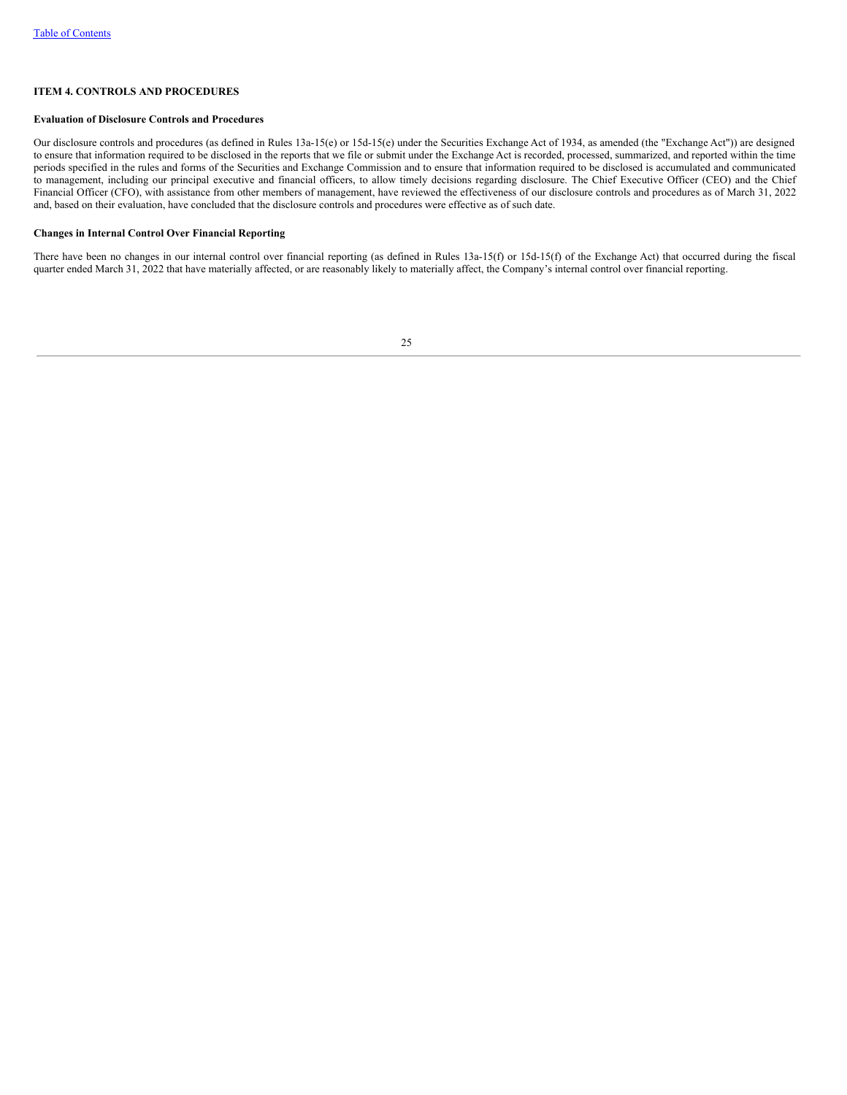# **ITEM 4. CONTROLS AND PROCEDURES**

### **Evaluation of Disclosure Controls and Procedures**

Our disclosure controls and procedures (as defined in Rules 13a-15(e) or 15d-15(e) under the Securities Exchange Act of 1934, as amended (the "Exchange Act")) are designed to ensure that information required to be disclosed in the reports that we file or submit under the Exchange Act is recorded, processed, summarized, and reported within the time periods specified in the rules and forms of the Securities and Exchange Commission and to ensure that information required to be disclosed is accumulated and communicated to management, including our principal executive and financial officers, to allow timely decisions regarding disclosure. The Chief Executive Officer (CEO) and the Chief Financial Officer (CFO), with assistance from other members of management, have reviewed the effectiveness of our disclosure controls and procedures as of March 31, 2022 and, based on their evaluation, have concluded that the disclosure controls and procedures were effective as of such date.

#### **Changes in Internal Control Over Financial Reporting**

<span id="page-26-0"></span>There have been no changes in our internal control over financial reporting (as defined in Rules 13a-15(f) or 15d-15(f) of the Exchange Act) that occurred during the fiscal quarter ended March 31, 2022 that have materially affected, or are reasonably likely to materially affect, the Company's internal control over financial reporting.

| ł |        |
|---|--------|
|   |        |
|   | $\sim$ |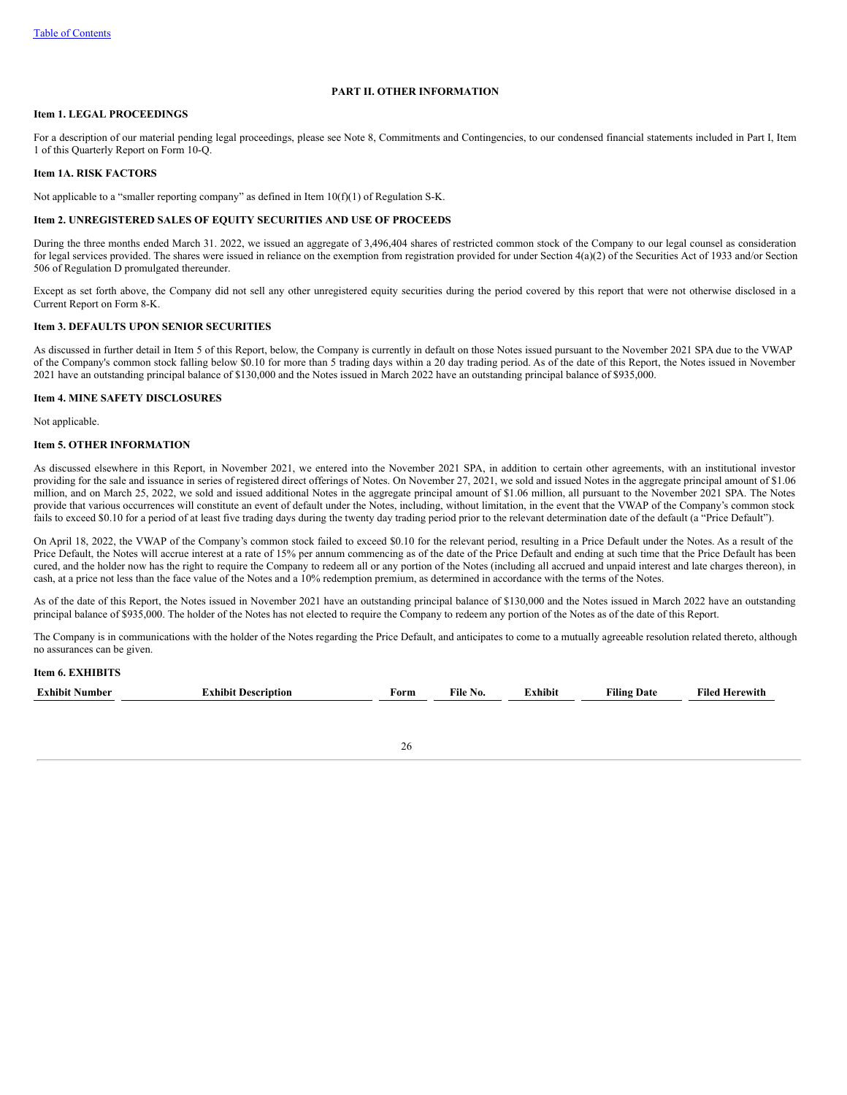# **PART II. OTHER INFORMATION**

# <span id="page-27-0"></span>**Item 1. LEGAL PROCEEDINGS**

For a description of our material pending legal proceedings, please see Note 8, Commitments and Contingencies, to our condensed financial statements included in Part I, Item 1 of this Quarterly Report on Form 10-Q.

### <span id="page-27-1"></span>**Item 1A. RISK FACTORS**

<span id="page-27-2"></span>Not applicable to a "smaller reporting company" as defined in Item 10(f)(1) of Regulation S-K.

# **Item 2. UNREGISTERED SALES OF EQUITY SECURITIES AND USE OF PROCEEDS**

During the three months ended March 31. 2022, we issued an aggregate of 3,496,404 shares of restricted common stock of the Company to our legal counsel as consideration for legal services provided. The shares were issued in reliance on the exemption from registration provided for under Section 4(a)(2) of the Securities Act of 1933 and/or Section 506 of Regulation D promulgated thereunder.

Except as set forth above, the Company did not sell any other unregistered equity securities during the period covered by this report that were not otherwise disclosed in a Current Report on Form 8-K.

### <span id="page-27-3"></span>**Item 3. DEFAULTS UPON SENIOR SECURITIES**

As discussed in further detail in Item 5 of this Report, below, the Company is currently in default on those Notes issued pursuant to the November 2021 SPA due to the VWAP of the Company's common stock falling below \$0.10 for more than 5 trading days within a 20 day trading period. As of the date of this Report, the Notes issued in November 2021 have an outstanding principal balance of \$130,000 and the Notes issued in March 2022 have an outstanding principal balance of \$935,000.

### <span id="page-27-4"></span>**Item 4. MINE SAFETY DISCLOSURES**

<span id="page-27-5"></span>Not applicable.

### **Item 5. OTHER INFORMATION**

As discussed elsewhere in this Report, in November 2021, we entered into the November 2021 SPA, in addition to certain other agreements, with an institutional investor providing for the sale and issuance in series of registered direct offerings of Notes. On November 27, 2021, we sold and issued Notes in the aggregate principal amount of \$1.06 million, and on March 25, 2022, we sold and issued additional Notes in the aggregate principal amount of \$1.06 million, all pursuant to the November 2021 SPA. The Notes provide that various occurrences will constitute an event of default under the Notes, including, without limitation, in the event that the VWAP of the Company's common stock fails to exceed \$0.10 for a period of at least five trading days during the twenty day trading period prior to the relevant determination date of the default (a "Price Default").

On April 18, 2022, the VWAP of the Company's common stock failed to exceed \$0.10 for the relevant period, resulting in a Price Default under the Notes. As a result of the Price Default, the Notes will accrue interest at a rate of 15% per annum commencing as of the date of the Price Default and ending at such time that the Price Default has been cured, and the holder now has the right to require the Company to redeem all or any portion of the Notes (including all accrued and unpaid interest and late charges thereon), in cash, at a price not less than the face value of the Notes and a 10% redemption premium, as determined in accordance with the terms of the Notes.

As of the date of this Report, the Notes issued in November 2021 have an outstanding principal balance of \$130,000 and the Notes issued in March 2022 have an outstanding principal balance of \$935,000. The holder of the Notes has not elected to require the Company to redeem any portion of the Notes as of the date of this Report.

The Company is in communications with the holder of the Notes regarding the Price Default, and anticipates to come to a mutually agreeable resolution related thereto, although no assurances can be given.

### <span id="page-27-6"></span>**Item 6. EXHIBITS**

| -<br>- Exhibit<br>Number | ≘rıptıon<br>hıbıt<br>a Jesz | ∗orm | ---<br>чие<br>NO. | $\bullet$<br>≃hıbn∟ | $- - -$<br>Date<br>'ılıns | ∗ned<br>0.0107<br>WILL. |  |
|--------------------------|-----------------------------|------|-------------------|---------------------|---------------------------|-------------------------|--|
|                          |                             |      |                   |                     |                           |                         |  |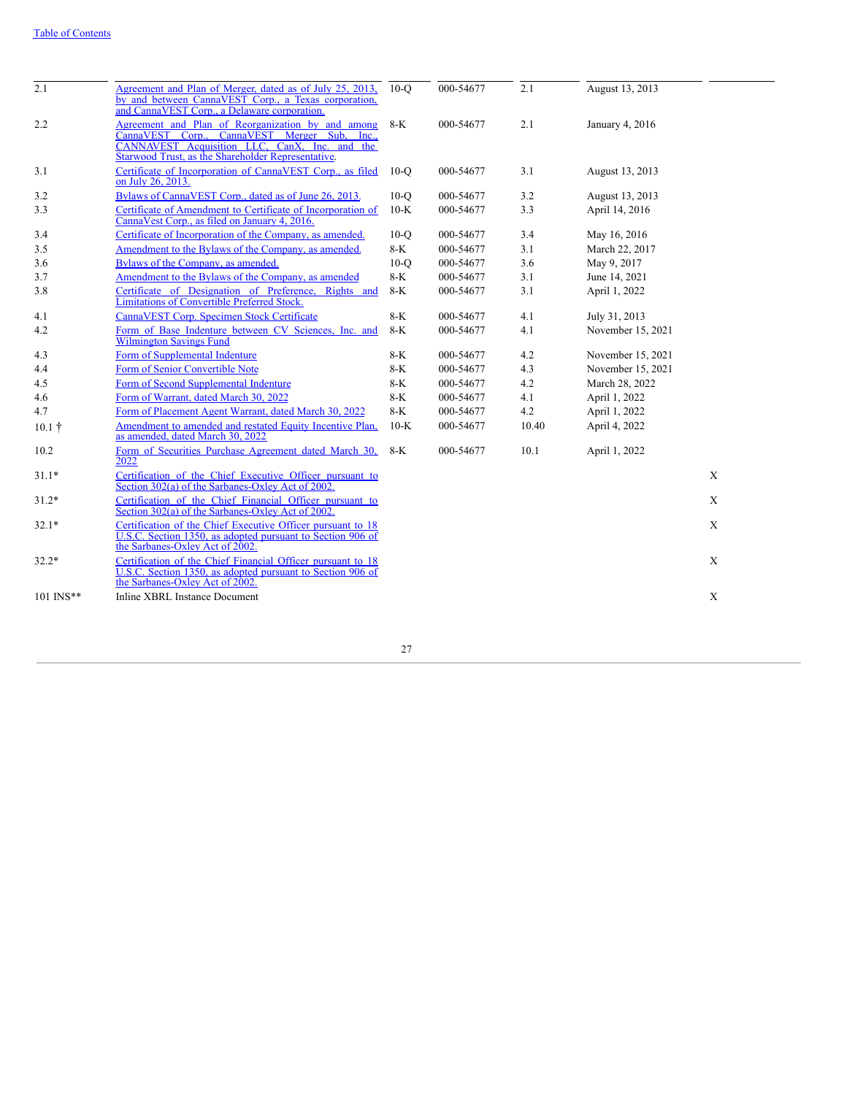| 2.1            | Agreement and Plan of Merger, dated as of July 25, 2013,<br>by and between CannaVEST Corp., a Texas corporation,<br>and CannaVEST Corp., a Delaware corporation.                                         | $10-°$ | 000-54677 | 2.1   | August 13, 2013   |             |
|----------------|----------------------------------------------------------------------------------------------------------------------------------------------------------------------------------------------------------|--------|-----------|-------|-------------------|-------------|
| 2.2            | Agreement and Plan of Reorganization by and among<br>CannaVEST Corp., CannaVEST Merger Sub. Inc.,<br>CANNAVEST Acquisition LLC, CanX, Inc. and the<br>Starwood Trust, as the Shareholder Representative. | $8-K$  | 000-54677 | 2.1   | January 4, 2016   |             |
| 3.1            | Certificate of Incorporation of CannaVEST Corp., as filed<br>on July 26, 2013.                                                                                                                           | $10-Q$ | 000-54677 | 3.1   | August 13, 2013   |             |
| 3.2            | Bylaws of CannaVEST Corp., dated as of June 26, 2013.                                                                                                                                                    | $10-O$ | 000-54677 | 3.2   | August 13, 2013   |             |
| 3.3            | Certificate of Amendment to Certificate of Incorporation of<br>CannaVest Corp., as filed on January 4, 2016.                                                                                             | $10-K$ | 000-54677 | 3.3   | April 14, 2016    |             |
| 3.4            | Certificate of Incorporation of the Company, as amended.                                                                                                                                                 | $10-Q$ | 000-54677 | 3.4   | May 16, 2016      |             |
| 3.5            | Amendment to the Bylaws of the Company, as amended.                                                                                                                                                      | $8-K$  | 000-54677 | 3.1   | March 22, 2017    |             |
| 3.6            | Bylaws of the Company, as amended.                                                                                                                                                                       | $10-O$ | 000-54677 | 3.6   | May 9, 2017       |             |
| 3.7            | Amendment to the Bylaws of the Company, as amended                                                                                                                                                       | $8-K$  | 000-54677 | 3.1   | June 14, 2021     |             |
| 3.8            | Certificate of Designation of Preference, Rights and<br><b>Limitations of Convertible Preferred Stock.</b>                                                                                               | $8-K$  | 000-54677 | 3.1   | April 1, 2022     |             |
| 4.1            | CannaVEST Corp. Specimen Stock Certificate                                                                                                                                                               | $8-K$  | 000-54677 | 4.1   | July 31, 2013     |             |
| 4.2            | Form of Base Indenture between CV Sciences, Inc. and<br><b>Wilmington Savings Fund</b>                                                                                                                   | $8-K$  | 000-54677 | 4.1   | November 15, 2021 |             |
| 4.3            | Form of Supplemental Indenture                                                                                                                                                                           | $8-K$  | 000-54677 | 4.2   | November 15, 2021 |             |
| 4.4            | Form of Senior Convertible Note                                                                                                                                                                          | $8-K$  | 000-54677 | 4.3   | November 15, 2021 |             |
| 4.5            | Form of Second Supplemental Indenture                                                                                                                                                                    | $8-K$  | 000-54677 | 4.2   | March 28, 2022    |             |
| 4.6            | Form of Warrant, dated March 30, 2022                                                                                                                                                                    | $8-K$  | 000-54677 | 4.1   | April 1, 2022     |             |
| 4.7            | Form of Placement Agent Warrant, dated March 30, 2022                                                                                                                                                    | $8-K$  | 000-54677 | 4.2   | April 1, 2022     |             |
| $10.1 \dagger$ | Amendment to amended and restated Equity Incentive Plan,<br>as amended, dated March 30, 2022                                                                                                             | $10-K$ | 000-54677 | 10.40 | April 4, 2022     |             |
| 10.2           | Form of Securities Purchase Agreement dated March 30.<br>2022                                                                                                                                            | 8-K    | 000-54677 | 10.1  | April 1, 2022     |             |
| $31.1*$        | Certification of the Chief Executive Officer pursuant to<br>Section 302(a) of the Sarbanes-Oxley Act of 2002.                                                                                            |        |           |       |                   | X           |
| $31.2*$        | Certification of the Chief Financial Officer pursuant to<br>Section $302(a)$ of the Sarbanes-Oxley Act of $2002$ .                                                                                       |        |           |       |                   | $\mathbf X$ |
| $32.1*$        | Certification of the Chief Executive Officer pursuant to 18<br>U.S.C. Section 1350, as adopted pursuant to Section 906 of<br>the Sarbanes-Oxley Act of 2002.                                             |        |           |       |                   | X           |
| $32.2*$        | Certification of the Chief Financial Officer pursuant to 18<br>U.S.C. Section 1350, as adopted pursuant to Section 906 of<br>the Sarbanes-Oxley Act of 2002.                                             |        |           |       |                   | X           |
| 101 INS**      | <b>Inline XBRL Instance Document</b>                                                                                                                                                                     |        |           |       |                   | X           |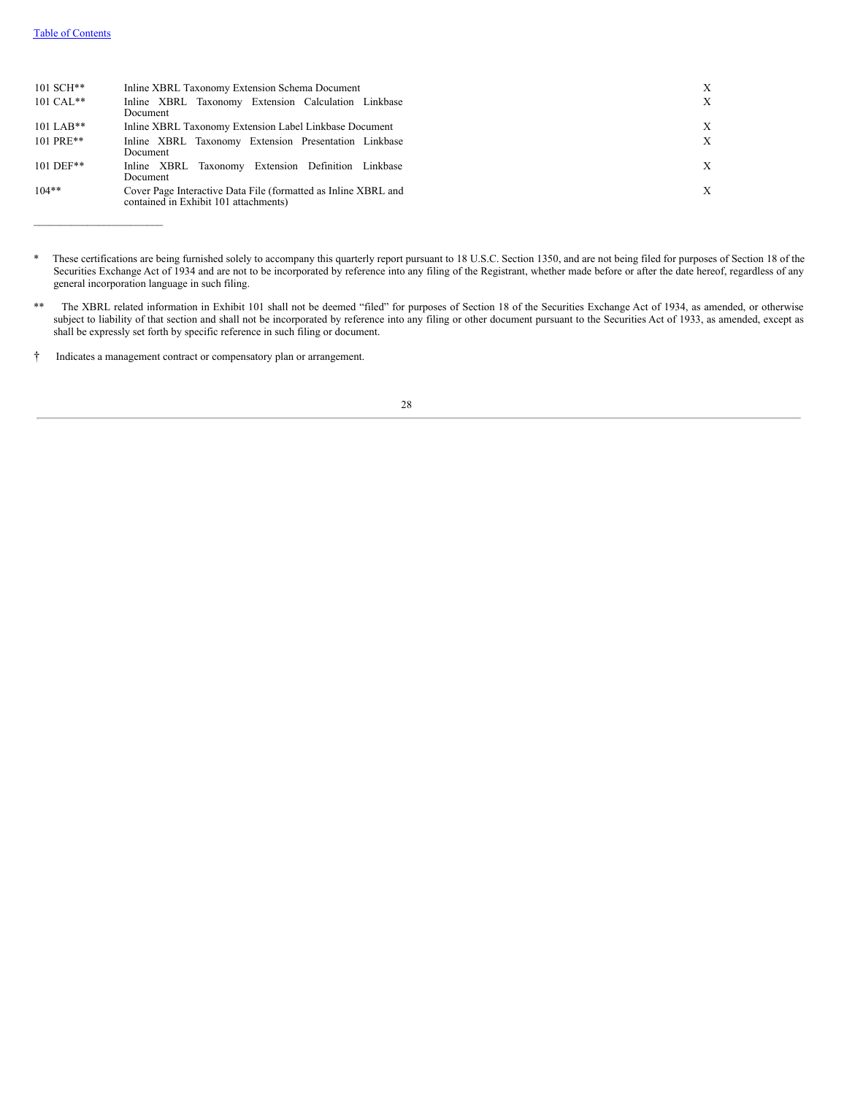\_\_\_\_\_\_\_\_\_\_\_\_\_\_\_\_\_\_\_\_\_\_\_\_

| $101$ SCH**<br>$101 \text{ CAL}^{**}$ | Inline XBRL Taxonomy Extension Schema Document<br>Inline XBRL Taxonomy Extension Calculation Linkbase<br>Document | X<br>X |
|---------------------------------------|-------------------------------------------------------------------------------------------------------------------|--------|
| $101$ LAB**                           | Inline XBRL Taxonomy Extension Label Linkbase Document                                                            | X      |
| 101 PRE**                             | Inline XBRL Taxonomy Extension Presentation Linkbase<br>Document                                                  | X      |
| $101$ DEF**                           | Inline XBRL Taxonomy Extension Definition Linkbase<br>Document                                                    | X      |
| $104**$                               | Cover Page Interactive Data File (formatted as Inline XBRL and<br>contained in Exhibit 101 attachments)           | X      |

<sup>\*</sup> These certifications are being furnished solely to accompany this quarterly report pursuant to 18 U.S.C. Section 1350, and are not being filed for purposes of Section 18 of the Securities Exchange Act of 1934 and are not to be incorporated by reference into any filing of the Registrant, whether made before or after the date hereof, regardless of any general incorporation language in such filing.

<span id="page-29-0"></span><sup>†</sup> Indicates a management contract or compensatory plan or arrangement.



<sup>\*\*</sup> The XBRL related information in Exhibit 101 shall not be deemed "filed" for purposes of Section 18 of the Securities Exchange Act of 1934, as amended, or otherwise subject to liability of that section and shall not be incorporated by reference into any filing or other document pursuant to the Securities Act of 1933, as amended, except as shall be expressly set forth by specific reference in such filing or document.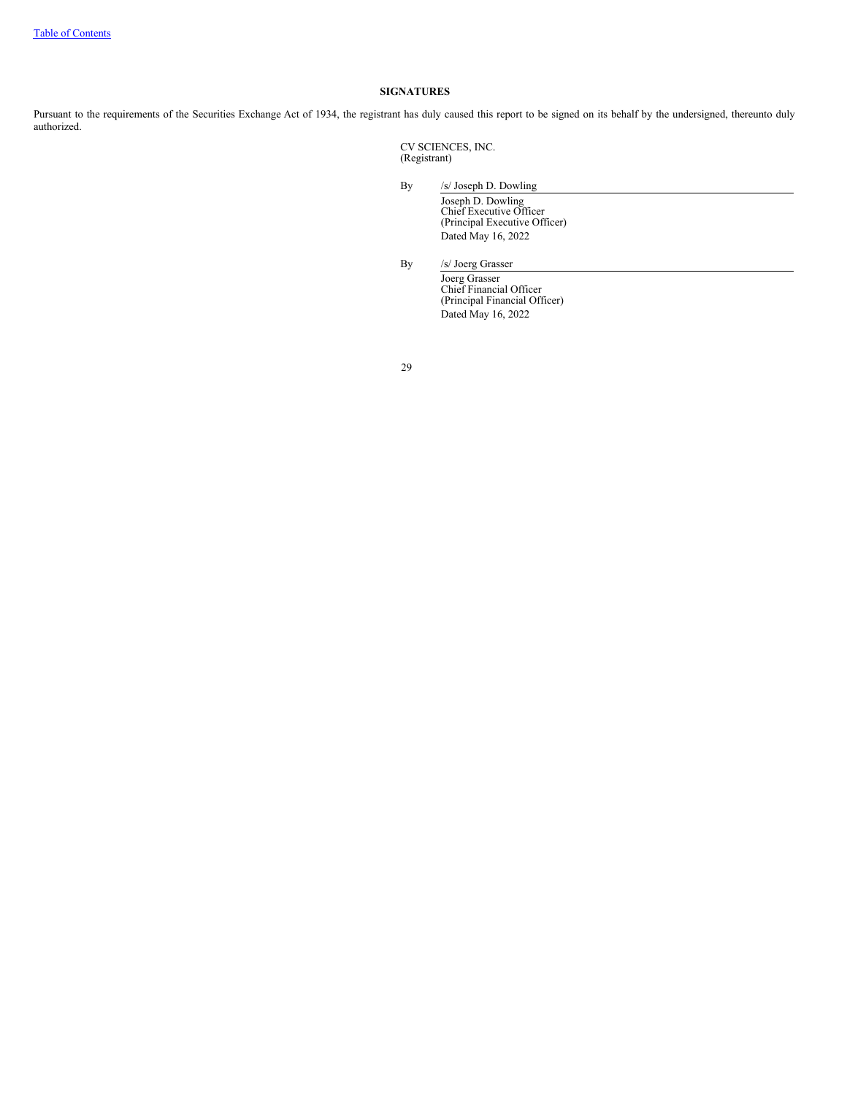# **SIGNATURES**

Pursuant to the requirements of the Securities Exchange Act of 1934, the registrant has duly caused this report to be signed on its behalf by the undersigned, thereunto duly authorized.

> CV SCIENCES, INC. (Registrant)

By /s/ Joseph D. Dowling

Joseph D. Dowling Chief Executive Officer (Principal Executive Officer) Dated May 16, 2022

By /s/ Joerg Grasser

Joerg Grasser Chief Financial Officer (Principal Financial Officer) Dated May 16, 2022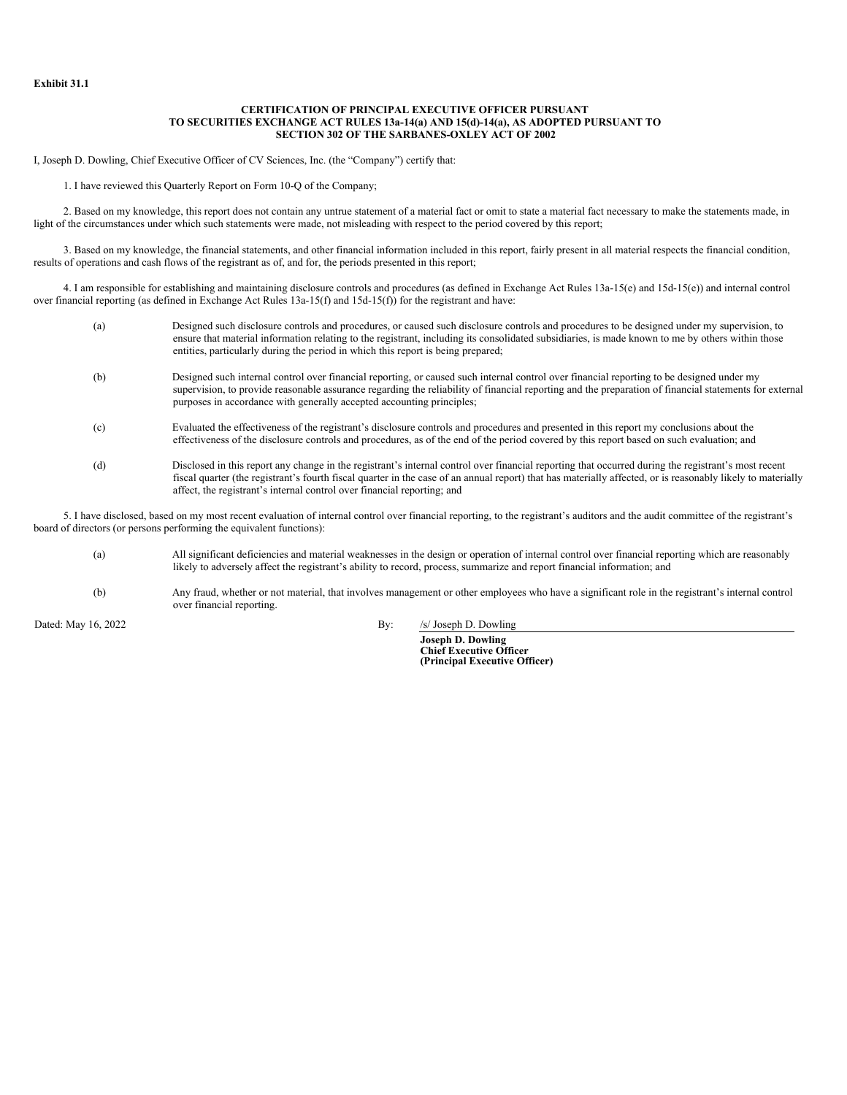### **CERTIFICATION OF PRINCIPAL EXECUTIVE OFFICER PURSUANT TO SECURITIES EXCHANGE ACT RULES 13a-14(a) AND 15(d)-14(a), AS ADOPTED PURSUANT TO SECTION 302 OF THE SARBANES-OXLEY ACT OF 2002**

<span id="page-31-0"></span>I, Joseph D. Dowling, Chief Executive Officer of CV Sciences, Inc. (the "Company") certify that:

1. I have reviewed this Quarterly Report on Form 10-Q of the Company;

2. Based on my knowledge, this report does not contain any untrue statement of a material fact or omit to state a material fact necessary to make the statements made, in light of the circumstances under which such statements were made, not misleading with respect to the period covered by this report;

3. Based on my knowledge, the financial statements, and other financial information included in this report, fairly present in all material respects the financial condition, results of operations and cash flows of the registrant as of, and for, the periods presented in this report;

4. I am responsible for establishing and maintaining disclosure controls and procedures (as defined in Exchange Act Rules 13a-15(e) and 15d-15(e)) and internal control over financial reporting (as defined in Exchange Act Rules 13a-15(f) and 15d-15(f)) for the registrant and have:

| (a) | Designed such disclosure controls and procedures, or caused such disclosure controls and procedures to be designed under my supervision, to<br>ensure that material information relating to the registrant, including its consolidated subsidiaries, is made known to me by others within those<br>entities, particularly during the period in which this report is being prepared;           |
|-----|-----------------------------------------------------------------------------------------------------------------------------------------------------------------------------------------------------------------------------------------------------------------------------------------------------------------------------------------------------------------------------------------------|
| (b) | Designed such internal control over financial reporting, or caused such internal control over financial reporting to be designed under my<br>supervision, to provide reasonable assurance regarding the reliability of financial reporting and the preparation of financial statements for external<br>purposes in accordance with generally accepted accounting principles;                  |
| (c) | Evaluated the effectiveness of the registrant's disclosure controls and procedures and presented in this report my conclusions about the<br>effectiveness of the disclosure controls and procedures, as of the end of the period covered by this report based on such evaluation; and                                                                                                         |
| (d) | Disclosed in this report any change in the registrant's internal control over financial reporting that occurred during the registrant's most recent<br>fiscal quarter (the registrant's fourth fiscal quarter in the case of an annual report) that has materially affected, or is reasonably likely to materially<br>affect, the registrant's internal control over financial reporting; and |

5. I have disclosed, based on my most recent evaluation of internal control over financial reporting, to the registrant's auditors and the audit committee of the registrant's board of directors (or persons performing the equivalent functions):

- (a) All significant deficiencies and material weaknesses in the design or operation of internal control over financial reporting which are reasonably likely to adversely affect the registrant's ability to record, process, summarize and report financial information; and
- (b) Any fraud, whether or not material, that involves management or other employees who have a significant role in the registrant's internal control over financial reporting.

Dated: May 16, 2022 By: /s/ Joseph D. Dowling

**Joseph D. Dowling Chief Executive Officer (Principal Executive Officer)**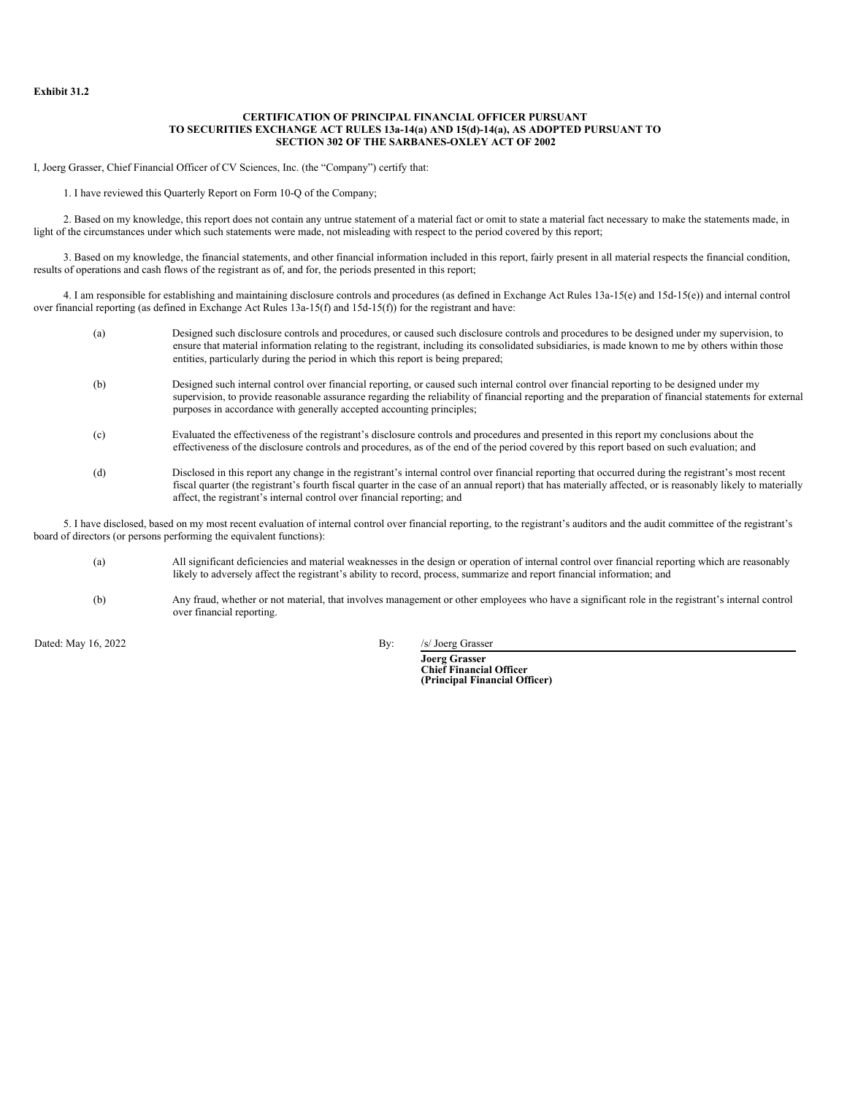### **CERTIFICATION OF PRINCIPAL FINANCIAL OFFICER PURSUANT TO SECURITIES EXCHANGE ACT RULES 13a-14(a) AND 15(d)-14(a), AS ADOPTED PURSUANT TO SECTION 302 OF THE SARBANES-OXLEY ACT OF 2002**

<span id="page-32-0"></span>I, Joerg Grasser, Chief Financial Officer of CV Sciences, Inc. (the "Company") certify that:

1. I have reviewed this Quarterly Report on Form 10-Q of the Company;

2. Based on my knowledge, this report does not contain any untrue statement of a material fact or omit to state a material fact necessary to make the statements made, in light of the circumstances under which such statements were made, not misleading with respect to the period covered by this report;

3. Based on my knowledge, the financial statements, and other financial information included in this report, fairly present in all material respects the financial condition, results of operations and cash flows of the registrant as of, and for, the periods presented in this report;

4. I am responsible for establishing and maintaining disclosure controls and procedures (as defined in Exchange Act Rules 13a-15(e) and 15d-15(e)) and internal control over financial reporting (as defined in Exchange Act Rules 13a-15(f) and 15d-15(f)) for the registrant and have:

- (a) Designed such disclosure controls and procedures, or caused such disclosure controls and procedures to be designed under my supervision, to ensure that material information relating to the registrant, including its consolidated subsidiaries, is made known to me by others within those entities, particularly during the period in which this report is being prepared; (b) Designed such internal control over financial reporting, or caused such internal control over financial reporting to be designed under my
- supervision, to provide reasonable assurance regarding the reliability of financial reporting and the preparation of financial statements for external purposes in accordance with generally accepted accounting principles;
- (c) Evaluated the effectiveness of the registrant's disclosure controls and procedures and presented in this report my conclusions about the effectiveness of the disclosure controls and procedures, as of the end of the period covered by this report based on such evaluation; and
- (d) Disclosed in this report any change in the registrant's internal control over financial reporting that occurred during the registrant's most recent fiscal quarter (the registrant's fourth fiscal quarter in the case of an annual report) that has materially affected, or is reasonably likely to materially affect, the registrant's internal control over financial reporting; and

5. I have disclosed, based on my most recent evaluation of internal control over financial reporting, to the registrant's auditors and the audit committee of the registrant's board of directors (or persons performing the equivalent functions):

- (a) All significant deficiencies and material weaknesses in the design or operation of internal control over financial reporting which are reasonably likely to adversely affect the registrant's ability to record, process, summarize and report financial information; and
- (b) Any fraud, whether or not material, that involves management or other employees who have a significant role in the registrant's internal control over financial reporting.

Dated: May 16, 2022 By: /s/ Joerg Grasser

**Joerg Grasser Chief Financial Officer (Principal Financial Officer)**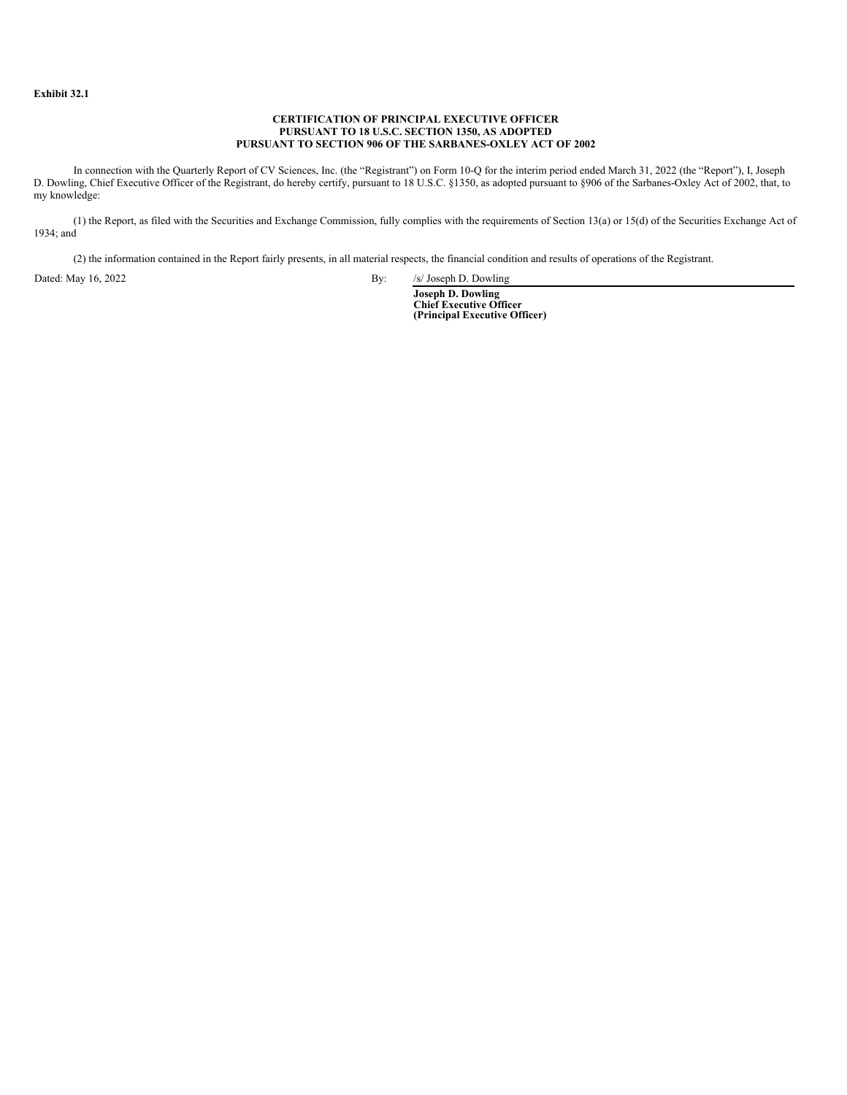### **CERTIFICATION OF PRINCIPAL EXECUTIVE OFFICER PURSUANT TO 18 U.S.C. SECTION 1350, AS ADOPTED PURSUANT TO SECTION 906 OF THE SARBANES-OXLEY ACT OF 2002**

<span id="page-33-0"></span>In connection with the Quarterly Report of CV Sciences, Inc. (the "Registrant") on Form 10-Q for the interim period ended March 31, 2022 (the "Report"), I, Joseph D. Dowling, Chief Executive Officer of the Registrant, do hereby certify, pursuant to 18 U.S.C. §1350, as adopted pursuant to §906 of the Sarbanes-Oxley Act of 2002, that, to my knowledge:

(1) the Report, as filed with the Securities and Exchange Commission, fully complies with the requirements of Section 13(a) or 15(d) of the Securities Exchange Act of 1934; and

(2) the information contained in the Report fairly presents, in all material respects, the financial condition and results of operations of the Registrant.

Dated: May 16, 2022 By: /s/ Joseph D. Dowling

**Joseph D. Dowling Chief Executive Officer (Principal Executive Officer)**